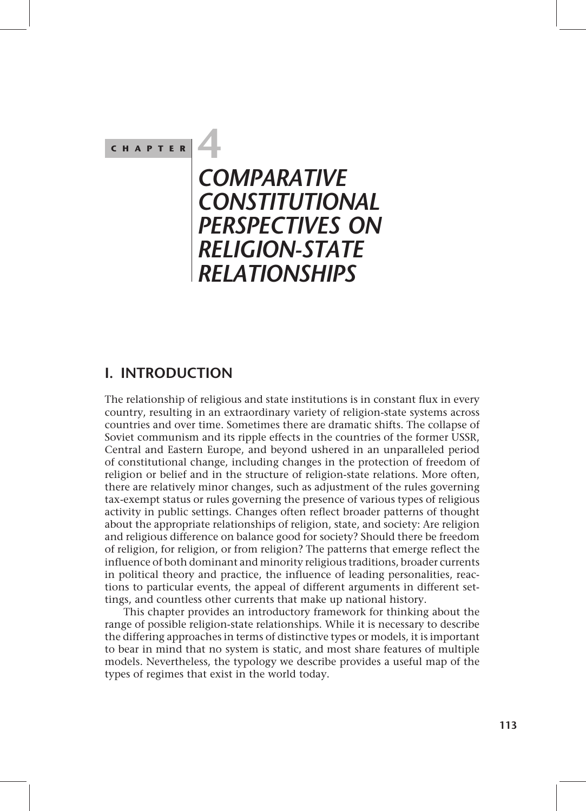**CHAPTER** 

**COMPARATIVE** CONSTITUTIONAL PERSPECTIVES ON RELIGION-STATE RELATIONSHIPS

## I. INTRODUCTION

The relationship of religious and state institutions is in constant flux in every country, resulting in an extraordinary variety of religion-state systems across countries and over time. Sometimes there are dramatic shifts. The collapse of Soviet communism and its ripple effects in the countries of the former USSR, Central and Eastern Europe, and beyond ushered in an unparalleled period of constitutional change, including changes in the protection of freedom of religion or belief and in the structure of religion-state relations. More often, there are relatively minor changes, such as adjustment of the rules governing tax-exempt status or rules governing the presence of various types of religious activity in public settings. Changes often reflect broader patterns of thought about the appropriate relationships of religion, state, and society: Are religion and religious difference on balance good for society? Should there be freedom of religion, for religion, or from religion? The patterns that emerge reflect the influence of both dominant and minority religious traditions, broader currents in political theory and practice, the influence of leading personalities, reactions to particular events, the appeal of different arguments in different settings, and countless other currents that make up national history.

This chapter provides an introductory framework for thinking about the range of possible religion-state relationships. While it is necessary to describe the differing approaches in terms of distinctive types or models, it is important to bear in mind that no system is static, and most share features of multiple models. Nevertheless, the typology we describe provides a useful map of the types of regimes that exist in the world today.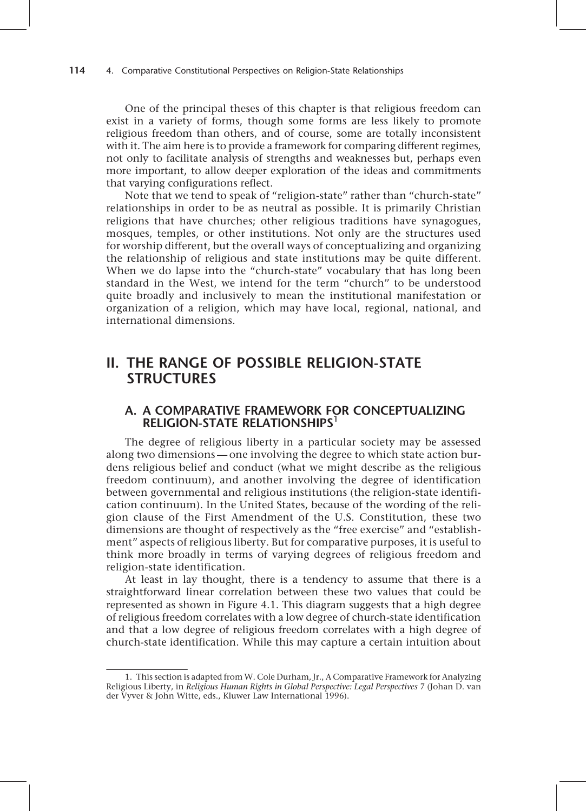One of the principal theses of this chapter is that religious freedom can exist in a variety of forms, though some forms are less likely to promote religious freedom than others, and of course, some are totally inconsistent with it. The aim here is to provide a framework for comparing different regimes, not only to facilitate analysis of strengths and weaknesses but, perhaps even more important, to allow deeper exploration of the ideas and commitments that varying configurations reflect.

Note that we tend to speak of ''religion-state'' rather than ''church-state'' relationships in order to be as neutral as possible. It is primarily Christian religions that have churches; other religious traditions have synagogues, mosques, temples, or other institutions. Not only are the structures used for worship different, but the overall ways of conceptualizing and organizing the relationship of religious and state institutions may be quite different. When we do lapse into the "church-state" vocabulary that has long been standard in the West, we intend for the term ''church'' to be understood quite broadly and inclusively to mean the institutional manifestation or organization of a religion, which may have local, regional, national, and international dimensions.

## II. THE RANGE OF POSSIBLE RELIGION-STATE **STRUCTURES**

### A. A COMPARATIVE FRAMEWORK FOR CONCEPTUALIZING RELIGION-STATE RELATIONSHIPS<sup>1</sup>

The degree of religious liberty in a particular society may be assessed along two dimensions — one involving the degree to which state action burdens religious belief and conduct (what we might describe as the religious freedom continuum), and another involving the degree of identification between governmental and religious institutions (the religion-state identification continuum). In the United States, because of the wording of the religion clause of the First Amendment of the U.S. Constitution, these two dimensions are thought of respectively as the ''free exercise'' and ''establishment'' aspects of religious liberty. But for comparative purposes, it is useful to think more broadly in terms of varying degrees of religious freedom and religion-state identification.

At least in lay thought, there is a tendency to assume that there is a straightforward linear correlation between these two values that could be represented as shown in Figure 4.1. This diagram suggests that a high degree of religious freedom correlates with a low degree of church-state identification and that a low degree of religious freedom correlates with a high degree of church-state identification. While this may capture a certain intuition about

<sup>1.</sup> This section is adapted from W. Cole Durham, Jr., A Comparative Framework for Analyzing Religious Liberty, in Religious Human Rights in Global Perspective: Legal Perspectives 7 (Johan D. van der Vyver & John Witte, eds., Kluwer Law International 1996).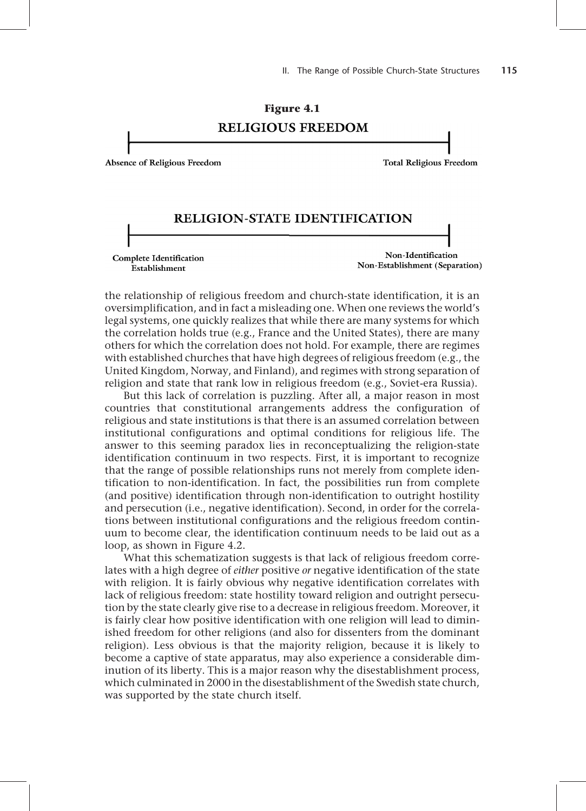## Figure 4.1 **RELIGIOUS FREEDOM**

Absence of Religious Freedom

**Total Religious Freedom** 

### **RELIGION-STATE IDENTIFICATION**

**Complete Identification** Establishment

Non-Identification Non-Establishment (Separation)

the relationship of religious freedom and church-state identification, it is an oversimplification, and in fact a misleading one. When one reviews the world's legal systems, one quickly realizes that while there are many systems for which the correlation holds true (e.g., France and the United States), there are many others for which the correlation does not hold. For example, there are regimes with established churches that have high degrees of religious freedom (e.g., the United Kingdom, Norway, and Finland), and regimes with strong separation of religion and state that rank low in religious freedom (e.g., Soviet-era Russia).

But this lack of correlation is puzzling. After all, a major reason in most countries that constitutional arrangements address the configuration of religious and state institutions is that there is an assumed correlation between institutional configurations and optimal conditions for religious life. The answer to this seeming paradox lies in reconceptualizing the religion-state identification continuum in two respects. First, it is important to recognize that the range of possible relationships runs not merely from complete identification to non-identification. In fact, the possibilities run from complete (and positive) identification through non-identification to outright hostility and persecution (i.e., negative identification). Second, in order for the correlations between institutional configurations and the religious freedom continuum to become clear, the identification continuum needs to be laid out as a loop, as shown in Figure 4.2.

What this schematization suggests is that lack of religious freedom correlates with a high degree of either positive or negative identification of the state with religion. It is fairly obvious why negative identification correlates with lack of religious freedom: state hostility toward religion and outright persecution by the state clearly give rise to a decrease in religious freedom. Moreover, it is fairly clear how positive identification with one religion will lead to diminished freedom for other religions (and also for dissenters from the dominant religion). Less obvious is that the majority religion, because it is likely to become a captive of state apparatus, may also experience a considerable diminution of its liberty. This is a major reason why the disestablishment process, which culminated in 2000 in the disestablishment of the Swedish state church, was supported by the state church itself.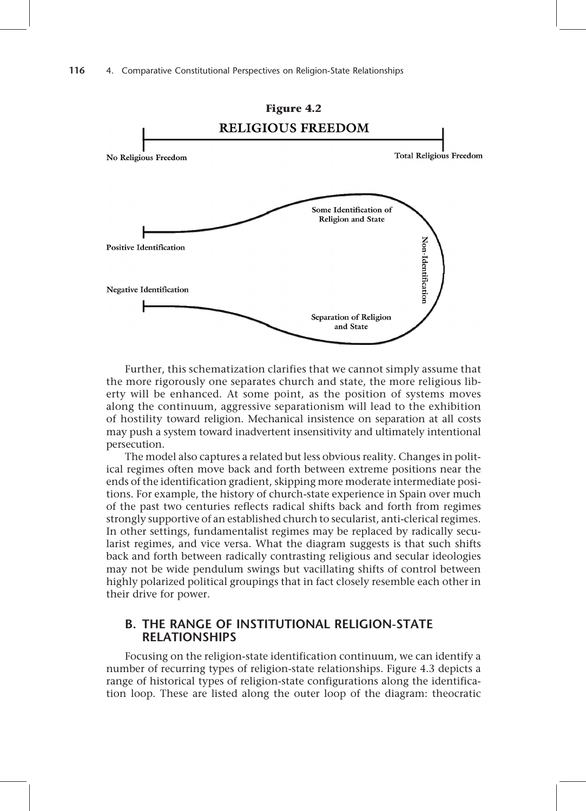

Further, this schematization clarifies that we cannot simply assume that the more rigorously one separates church and state, the more religious liberty will be enhanced. At some point, as the position of systems moves along the continuum, aggressive separationism will lead to the exhibition of hostility toward religion. Mechanical insistence on separation at all costs may push a system toward inadvertent insensitivity and ultimately intentional persecution.

The model also captures a related but less obvious reality. Changes in political regimes often move back and forth between extreme positions near the ends of the identification gradient, skipping more moderate intermediate positions. For example, the history of church-state experience in Spain over much of the past two centuries reflects radical shifts back and forth from regimes strongly supportive of an established church to secularist, anti-clerical regimes. In other settings, fundamentalist regimes may be replaced by radically secularist regimes, and vice versa. What the diagram suggests is that such shifts back and forth between radically contrasting religious and secular ideologies may not be wide pendulum swings but vacillating shifts of control between highly polarized political groupings that in fact closely resemble each other in their drive for power.

### B. THE RANGE OF INSTITUTIONAL RELIGION-STATE RELATIONSHIPS

Focusing on the religion-state identification continuum, we can identify a number of recurring types of religion-state relationships. Figure 4.3 depicts a range of historical types of religion-state configurations along the identification loop. These are listed along the outer loop of the diagram: theocratic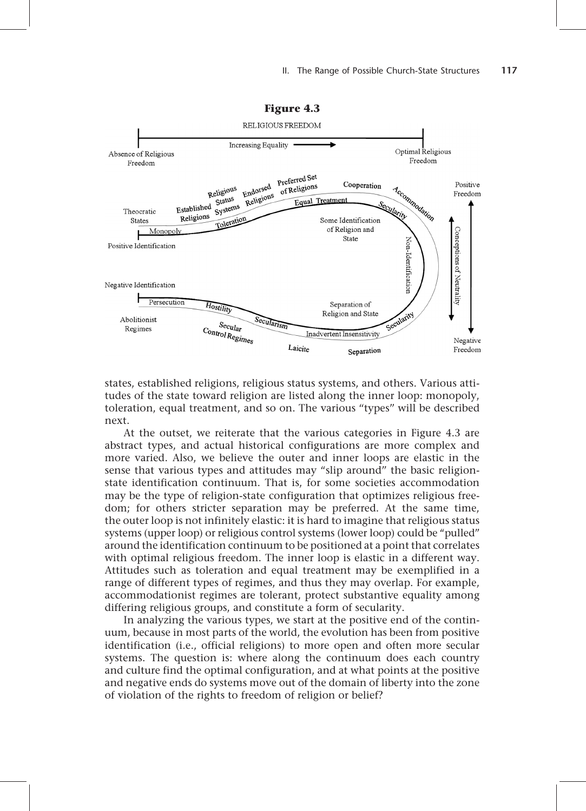

states, established religions, religious status systems, and others. Various attitudes of the state toward religion are listed along the inner loop: monopoly, toleration, equal treatment, and so on. The various ''types'' will be described next.

At the outset, we reiterate that the various categories in Figure 4.3 are abstract types, and actual historical configurations are more complex and more varied. Also, we believe the outer and inner loops are elastic in the sense that various types and attitudes may ''slip around'' the basic religionstate identification continuum. That is, for some societies accommodation may be the type of religion-state configuration that optimizes religious freedom; for others stricter separation may be preferred. At the same time, the outer loop is not infinitely elastic: it is hard to imagine that religious status systems (upper loop) or religious control systems (lower loop) could be ''pulled'' around the identification continuum to be positioned at a point that correlates with optimal religious freedom. The inner loop is elastic in a different way. Attitudes such as toleration and equal treatment may be exemplified in a range of different types of regimes, and thus they may overlap. For example, accommodationist regimes are tolerant, protect substantive equality among differing religious groups, and constitute a form of secularity.

In analyzing the various types, we start at the positive end of the continuum, because in most parts of the world, the evolution has been from positive identification (i.e., official religions) to more open and often more secular systems. The question is: where along the continuum does each country and culture find the optimal configuration, and at what points at the positive and negative ends do systems move out of the domain of liberty into the zone of violation of the rights to freedom of religion or belief?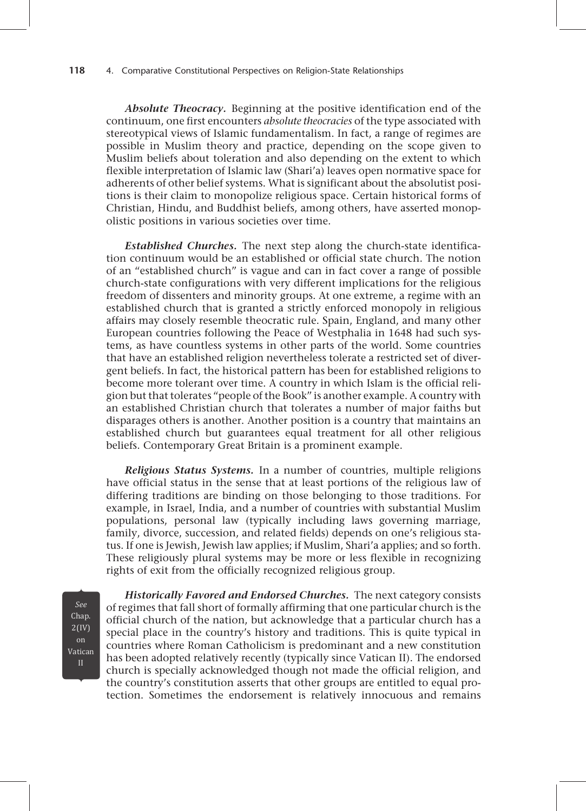Absolute Theocracy. Beginning at the positive identification end of the continuum, one first encounters absolute theocracies of the type associated with stereotypical views of Islamic fundamentalism. In fact, a range of regimes are possible in Muslim theory and practice, depending on the scope given to Muslim beliefs about toleration and also depending on the extent to which flexible interpretation of Islamic law (Shari'a) leaves open normative space for adherents of other belief systems. What is significant about the absolutist positions is their claim to monopolize religious space. Certain historical forms of Christian, Hindu, and Buddhist beliefs, among others, have asserted monopolistic positions in various societies over time.

Established Churches. The next step along the church-state identification continuum would be an established or official state church. The notion of an ''established church'' is vague and can in fact cover a range of possible church-state configurations with very different implications for the religious freedom of dissenters and minority groups. At one extreme, a regime with an established church that is granted a strictly enforced monopoly in religious affairs may closely resemble theocratic rule. Spain, England, and many other European countries following the Peace of Westphalia in 1648 had such systems, as have countless systems in other parts of the world. Some countries that have an established religion nevertheless tolerate a restricted set of divergent beliefs. In fact, the historical pattern has been for established religions to become more tolerant over time. A country in which Islam is the official religion but that tolerates ''people of the Book'' is another example. A country with an established Christian church that tolerates a number of major faiths but disparages others is another. Another position is a country that maintains an established church but guarantees equal treatment for all other religious beliefs. Contemporary Great Britain is a prominent example.

Religious Status Systems. In a number of countries, multiple religions have official status in the sense that at least portions of the religious law of differing traditions are binding on those belonging to those traditions. For example, in Israel, India, and a number of countries with substantial Muslim populations, personal law (typically including laws governing marriage, family, divorce, succession, and related fields) depends on one's religious status. If one is Jewish, Jewish law applies; if Muslim, Shari'a applies; and so forth. These religiously plural systems may be more or less flexible in recognizing rights of exit from the officially recognized religious group.

*See*  Chap. 2(IV) on Vatican II

Historically Favored and Endorsed Churches. The next category consists of regimes that fall short of formally affirming that one particular church is the official church of the nation, but acknowledge that a particular church has a special place in the country's history and traditions. This is quite typical in countries where Roman Catholicism is predominant and a new constitution has been adopted relatively recently (typically since Vatican II). The endorsed church is specially acknowledged though not made the official religion, and the country's constitution asserts that other groups are entitled to equal protection. Sometimes the endorsement is relatively innocuous and remains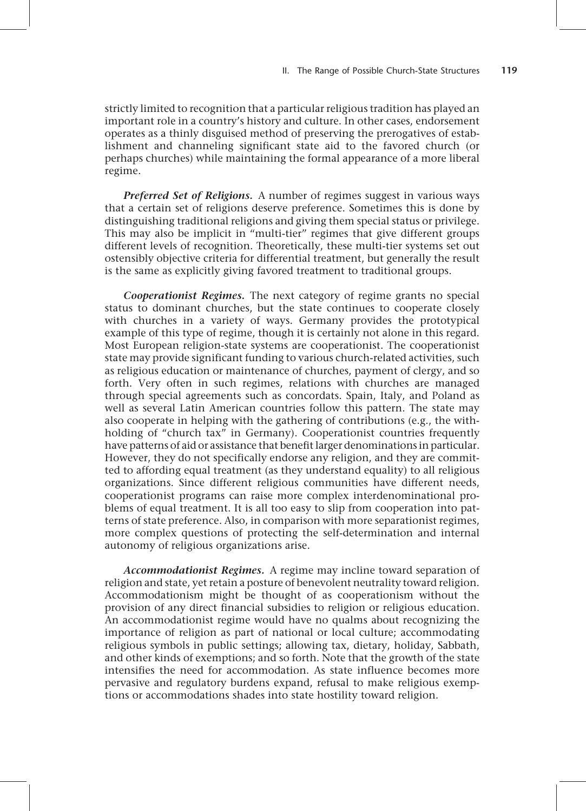strictly limited to recognition that a particular religious tradition has played an important role in a country's history and culture. In other cases, endorsement operates as a thinly disguised method of preserving the prerogatives of establishment and channeling significant state aid to the favored church (or perhaps churches) while maintaining the formal appearance of a more liberal regime.

Preferred Set of Religions. A number of regimes suggest in various ways that a certain set of religions deserve preference. Sometimes this is done by distinguishing traditional religions and giving them special status or privilege. This may also be implicit in ''multi-tier'' regimes that give different groups different levels of recognition. Theoretically, these multi-tier systems set out ostensibly objective criteria for differential treatment, but generally the result is the same as explicitly giving favored treatment to traditional groups.

Cooperationist Regimes. The next category of regime grants no special status to dominant churches, but the state continues to cooperate closely with churches in a variety of ways. Germany provides the prototypical example of this type of regime, though it is certainly not alone in this regard. Most European religion-state systems are cooperationist. The cooperationist state may provide significant funding to various church-related activities, such as religious education or maintenance of churches, payment of clergy, and so forth. Very often in such regimes, relations with churches are managed through special agreements such as concordats. Spain, Italy, and Poland as well as several Latin American countries follow this pattern. The state may also cooperate in helping with the gathering of contributions (e.g., the withholding of ''church tax'' in Germany). Cooperationist countries frequently have patterns of aid or assistance that benefit larger denominations in particular. However, they do not specifically endorse any religion, and they are committed to affording equal treatment (as they understand equality) to all religious organizations. Since different religious communities have different needs, cooperationist programs can raise more complex interdenominational problems of equal treatment. It is all too easy to slip from cooperation into patterns of state preference. Also, in comparison with more separationist regimes, more complex questions of protecting the self-determination and internal autonomy of religious organizations arise.

Accommodationist Regimes. A regime may incline toward separation of religion and state, yet retain a posture of benevolent neutrality toward religion. Accommodationism might be thought of as cooperationism without the provision of any direct financial subsidies to religion or religious education. An accommodationist regime would have no qualms about recognizing the importance of religion as part of national or local culture; accommodating religious symbols in public settings; allowing tax, dietary, holiday, Sabbath, and other kinds of exemptions; and so forth. Note that the growth of the state intensifies the need for accommodation. As state influence becomes more pervasive and regulatory burdens expand, refusal to make religious exemptions or accommodations shades into state hostility toward religion.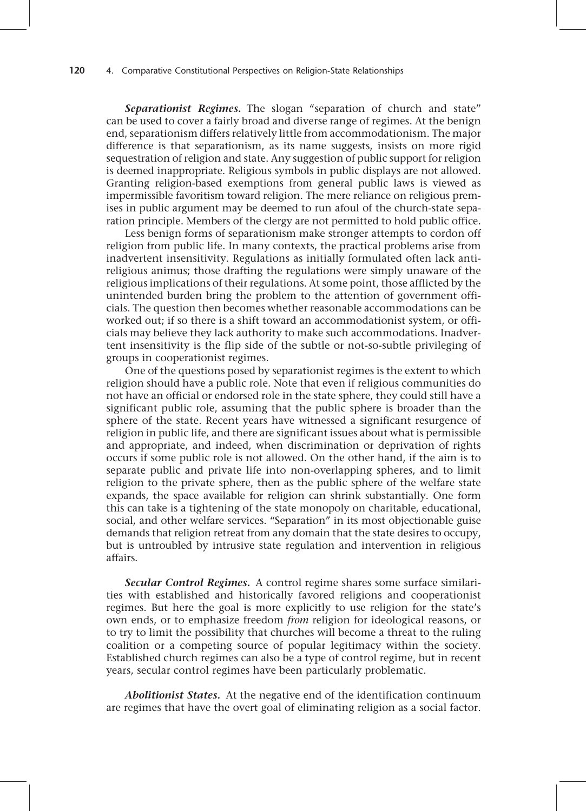Separationist Regimes. The slogan "separation of church and state" can be used to cover a fairly broad and diverse range of regimes. At the benign end, separationism differs relatively little from accommodationism. The major difference is that separationism, as its name suggests, insists on more rigid sequestration of religion and state. Any suggestion of public support for religion is deemed inappropriate. Religious symbols in public displays are not allowed. Granting religion-based exemptions from general public laws is viewed as impermissible favoritism toward religion. The mere reliance on religious premises in public argument may be deemed to run afoul of the church-state separation principle. Members of the clergy are not permitted to hold public office.

Less benign forms of separationism make stronger attempts to cordon off religion from public life. In many contexts, the practical problems arise from inadvertent insensitivity. Regulations as initially formulated often lack antireligious animus; those drafting the regulations were simply unaware of the religious implications of their regulations. At some point, those afflicted by the unintended burden bring the problem to the attention of government officials. The question then becomes whether reasonable accommodations can be worked out; if so there is a shift toward an accommodationist system, or officials may believe they lack authority to make such accommodations. Inadvertent insensitivity is the flip side of the subtle or not-so-subtle privileging of groups in cooperationist regimes.

One of the questions posed by separationist regimes is the extent to which religion should have a public role. Note that even if religious communities do not have an official or endorsed role in the state sphere, they could still have a significant public role, assuming that the public sphere is broader than the sphere of the state. Recent years have witnessed a significant resurgence of religion in public life, and there are significant issues about what is permissible and appropriate, and indeed, when discrimination or deprivation of rights occurs if some public role is not allowed. On the other hand, if the aim is to separate public and private life into non-overlapping spheres, and to limit religion to the private sphere, then as the public sphere of the welfare state expands, the space available for religion can shrink substantially. One form this can take is a tightening of the state monopoly on charitable, educational, social, and other welfare services. ''Separation'' in its most objectionable guise demands that religion retreat from any domain that the state desires to occupy, but is untroubled by intrusive state regulation and intervention in religious affairs.

Secular Control Regimes. A control regime shares some surface similarities with established and historically favored religions and cooperationist regimes. But here the goal is more explicitly to use religion for the state's own ends, or to emphasize freedom from religion for ideological reasons, or to try to limit the possibility that churches will become a threat to the ruling coalition or a competing source of popular legitimacy within the society. Established church regimes can also be a type of control regime, but in recent years, secular control regimes have been particularly problematic.

Abolitionist States. At the negative end of the identification continuum are regimes that have the overt goal of eliminating religion as a social factor.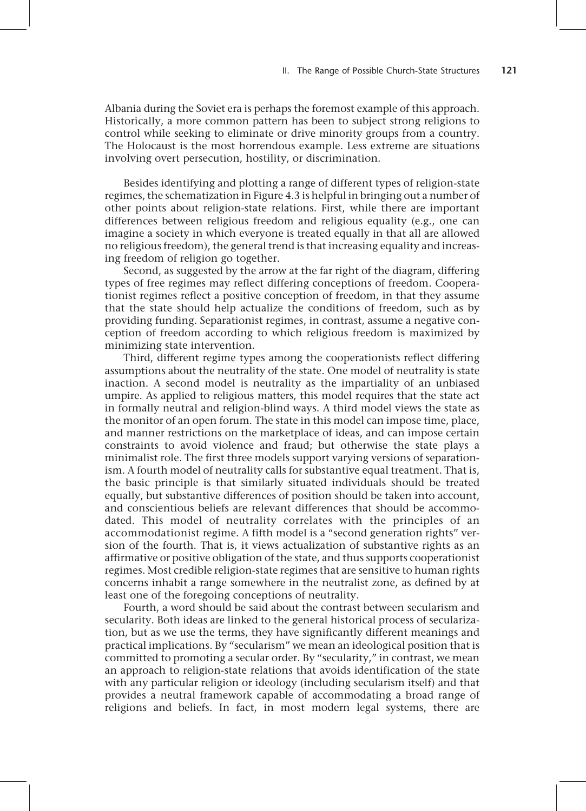Albania during the Soviet era is perhaps the foremost example of this approach. Historically, a more common pattern has been to subject strong religions to control while seeking to eliminate or drive minority groups from a country. The Holocaust is the most horrendous example. Less extreme are situations involving overt persecution, hostility, or discrimination.

Besides identifying and plotting a range of different types of religion-state regimes, the schematization in Figure 4.3 is helpful in bringing out a number of other points about religion-state relations. First, while there are important differences between religious freedom and religious equality (e.g., one can imagine a society in which everyone is treated equally in that all are allowed no religious freedom), the general trend is that increasing equality and increasing freedom of religion go together.

Second, as suggested by the arrow at the far right of the diagram, differing types of free regimes may reflect differing conceptions of freedom. Cooperationist regimes reflect a positive conception of freedom, in that they assume that the state should help actualize the conditions of freedom, such as by providing funding. Separationist regimes, in contrast, assume a negative conception of freedom according to which religious freedom is maximized by minimizing state intervention.

Third, different regime types among the cooperationists reflect differing assumptions about the neutrality of the state. One model of neutrality is state inaction. A second model is neutrality as the impartiality of an unbiased umpire. As applied to religious matters, this model requires that the state act in formally neutral and religion-blind ways. A third model views the state as the monitor of an open forum. The state in this model can impose time, place, and manner restrictions on the marketplace of ideas, and can impose certain constraints to avoid violence and fraud; but otherwise the state plays a minimalist role. The first three models support varying versions of separationism. A fourth model of neutrality calls for substantive equal treatment. That is, the basic principle is that similarly situated individuals should be treated equally, but substantive differences of position should be taken into account, and conscientious beliefs are relevant differences that should be accommodated. This model of neutrality correlates with the principles of an accommodationist regime. A fifth model is a ''second generation rights'' version of the fourth. That is, it views actualization of substantive rights as an affirmative or positive obligation of the state, and thus supports cooperationist regimes. Most credible religion-state regimes that are sensitive to human rights concerns inhabit a range somewhere in the neutralist zone, as defined by at least one of the foregoing conceptions of neutrality.

Fourth, a word should be said about the contrast between secularism and secularity. Both ideas are linked to the general historical process of secularization, but as we use the terms, they have significantly different meanings and practical implications. By ''secularism'' we mean an ideological position that is committed to promoting a secular order. By "secularity," in contrast, we mean an approach to religion-state relations that avoids identification of the state with any particular religion or ideology (including secularism itself) and that provides a neutral framework capable of accommodating a broad range of religions and beliefs. In fact, in most modern legal systems, there are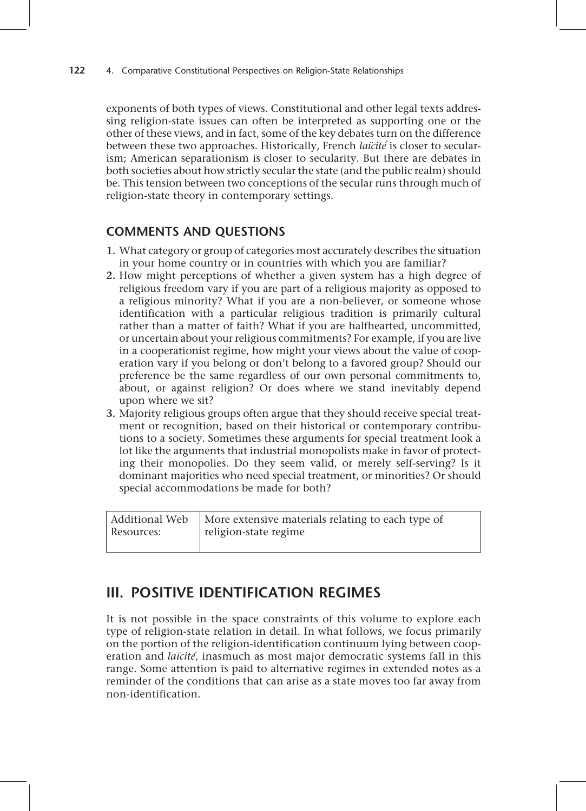exponents of both types of views. Constitutional and other legal texts addressing religion-state issues can often be interpreted as supporting one or the other of these views, and in fact, some of the key debates turn on the difference between these two approaches. Historically, French laicité is closer to secularism; American separationism is closer to secularity. But there are debates in both societies about how strictly secular the state (and the public realm) should be. This tension between two conceptions of the secular runs through much of religion-state theory in contemporary settings.

## COMMENTS AND QUESTIONS

- 1. What category or group of categories most accurately describes the situation in your home country or in countries with which you are familiar?
- 2. How might perceptions of whether a given system has a high degree of religious freedom vary if you are part of a religious majority as opposed to a religious minority? What if you are a non-believer, or someone whose identification with a particular religious tradition is primarily cultural rather than a matter of faith? What if you are halfhearted, uncommitted, or uncertain about your religious commitments? For example, if you are live in a cooperationist regime, how might your views about the value of cooperation vary if you belong or don't belong to a favored group? Should our preference be the same regardless of our own personal commitments to, about, or against religion? Or does where we stand inevitably depend upon where we sit?
- 3. Majority religious groups often argue that they should receive special treatment or recognition, based on their historical or contemporary contributions to a society. Sometimes these arguments for special treatment look a lot like the arguments that industrial monopolists make in favor of protecting their monopolies. Do they seem valid, or merely self-serving? Is it dominant majorities who need special treatment, or minorities? Or should special accommodations be made for both?

|            | Additional Web   More extensive materials relating to each type of |
|------------|--------------------------------------------------------------------|
| Resources: | religion-state regime                                              |
|            |                                                                    |

## III. POSITIVE IDENTIFICATION REGIMES

It is not possible in the space constraints of this volume to explore each type of religion-state relation in detail. In what follows, we focus primarily on the portion of the religion-identification continuum lying between cooperation and *laicité*, inasmuch as most major democratic systems fall in this range. Some attention is paid to alternative regimes in extended notes as a reminder of the conditions that can arise as a state moves too far away from non-identification.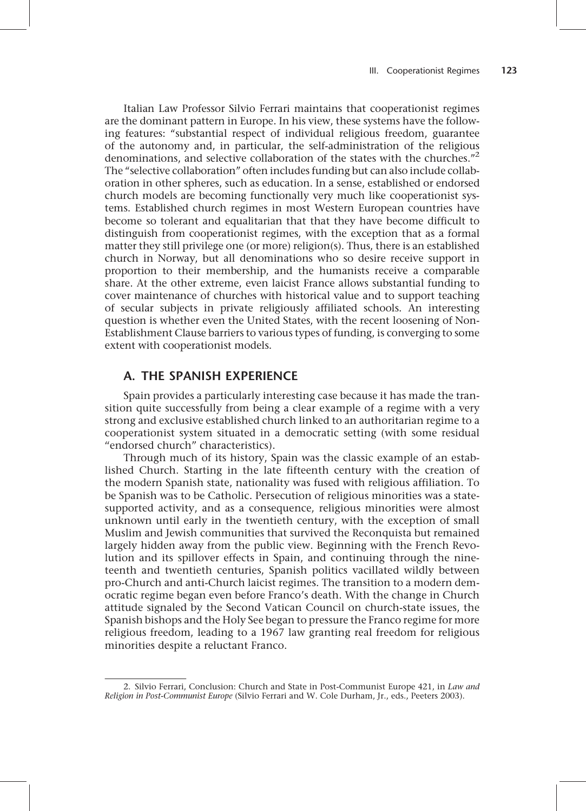Italian Law Professor Silvio Ferrari maintains that cooperationist regimes are the dominant pattern in Europe. In his view, these systems have the following features: ''substantial respect of individual religious freedom, guarantee of the autonomy and, in particular, the self-administration of the religious denominations, and selective collaboration of the states with the churches.''2 The ''selective collaboration'' often includes funding but can also include collaboration in other spheres, such as education. In a sense, established or endorsed church models are becoming functionally very much like cooperationist systems. Established church regimes in most Western European countries have become so tolerant and equalitarian that that they have become difficult to distinguish from cooperationist regimes, with the exception that as a formal matter they still privilege one (or more) religion(s). Thus, there is an established church in Norway, but all denominations who so desire receive support in proportion to their membership, and the humanists receive a comparable share. At the other extreme, even laicist France allows substantial funding to cover maintenance of churches with historical value and to support teaching of secular subjects in private religiously affiliated schools. An interesting question is whether even the United States, with the recent loosening of Non-Establishment Clause barriers to various types of funding, is converging to some extent with cooperationist models.

### A. THE SPANISH EXPERIENCE

Spain provides a particularly interesting case because it has made the transition quite successfully from being a clear example of a regime with a very strong and exclusive established church linked to an authoritarian regime to a cooperationist system situated in a democratic setting (with some residual ''endorsed church'' characteristics).

Through much of its history, Spain was the classic example of an established Church. Starting in the late fifteenth century with the creation of the modern Spanish state, nationality was fused with religious affiliation. To be Spanish was to be Catholic. Persecution of religious minorities was a statesupported activity, and as a consequence, religious minorities were almost unknown until early in the twentieth century, with the exception of small Muslim and Jewish communities that survived the Reconquista but remained largely hidden away from the public view. Beginning with the French Revolution and its spillover effects in Spain, and continuing through the nineteenth and twentieth centuries, Spanish politics vacillated wildly between pro-Church and anti-Church laicist regimes. The transition to a modern democratic regime began even before Franco's death. With the change in Church attitude signaled by the Second Vatican Council on church-state issues, the Spanish bishops and the Holy See began to pressure the Franco regime for more religious freedom, leading to a 1967 law granting real freedom for religious minorities despite a reluctant Franco.

<sup>2.</sup> Silvio Ferrari, Conclusion: Church and State in Post-Communist Europe 421, in Law and Religion in Post-Communist Europe (Silvio Ferrari and W. Cole Durham, Jr., eds., Peeters 2003).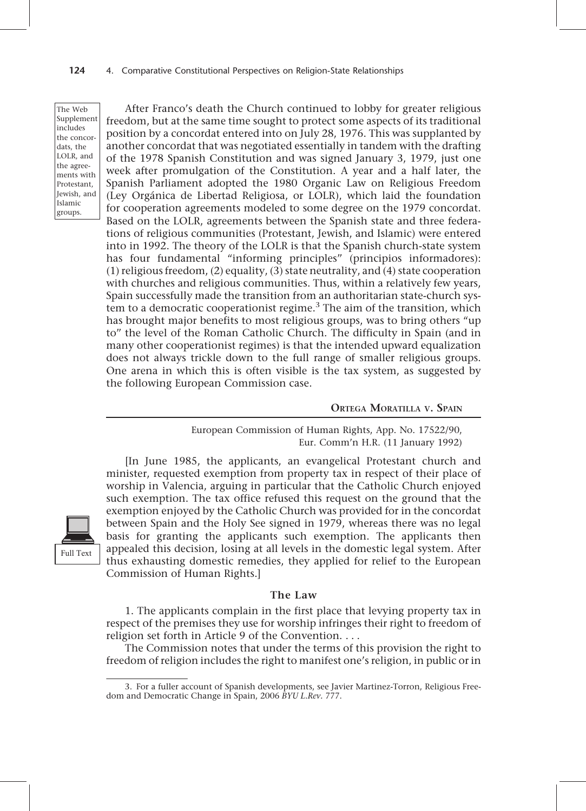The Web Supplement includes the concordats, the LOLR, and the agreements with Protestant, Jewish, and Islamic groups.

After Franco's death the Church continued to lobby for greater religious freedom, but at the same time sought to protect some aspects of its traditional position by a concordat entered into on July 28, 1976. This was supplanted by another concordat that was negotiated essentially in tandem with the drafting of the 1978 Spanish Constitution and was signed January 3, 1979, just one week after promulgation of the Constitution. A year and a half later, the Spanish Parliament adopted the 1980 Organic Law on Religious Freedom (Ley Orgánica de Libertad Religiosa, or LOLR), which laid the foundation for cooperation agreements modeled to some degree on the 1979 concordat. Based on the LOLR, agreements between the Spanish state and three federations of religious communities (Protestant, Jewish, and Islamic) were entered into in 1992. The theory of the LOLR is that the Spanish church-state system has four fundamental "informing principles" (principios informadores): (1) religious freedom, (2) equality, (3) state neutrality, and (4) state cooperation with churches and religious communities. Thus, within a relatively few years, Spain successfully made the transition from an authoritarian state-church system to a democratic cooperationist regime.<sup>3</sup> The aim of the transition, which has brought major benefits to most religious groups, was to bring others ''up to'' the level of the Roman Catholic Church. The difficulty in Spain (and in many other cooperationist regimes) is that the intended upward equalization does not always trickle down to the full range of smaller religious groups. One arena in which this is often visible is the tax system, as suggested by the following European Commission case.

ORTEGA MORATILLA V. SPAIN

European Commission of Human Rights, App. No. 17522/90, Eur. Comm'n H.R. (11 January 1992)

[In June 1985, the applicants, an evangelical Protestant church and minister, requested exemption from property tax in respect of their place of worship in Valencia, arguing in particular that the Catholic Church enjoyed such exemption. The tax office refused this request on the ground that the exemption enjoyed by the Catholic Church was provided for in the concordat between Spain and the Holy See signed in 1979, whereas there was no legal basis for granting the applicants such exemption. The applicants then appealed this decision, losing at all levels in the domestic legal system. After thus exhausting domestic remedies, they applied for relief to the European Commission of Human Rights.]

The Law

1. The applicants complain in the first place that levying property tax in respect of the premises they use for worship infringes their right to freedom of religion set forth in Article 9 of the Convention. . . .

The Commission notes that under the terms of this provision the right to freedom of religion includes the right to manifest one's religion, in public or in



<sup>3.</sup> For a fuller account of Spanish developments, see Javier Martinez-Torron, Religious Freedom and Democratic Change in Spain, 2006 BYU L.Rev. 777.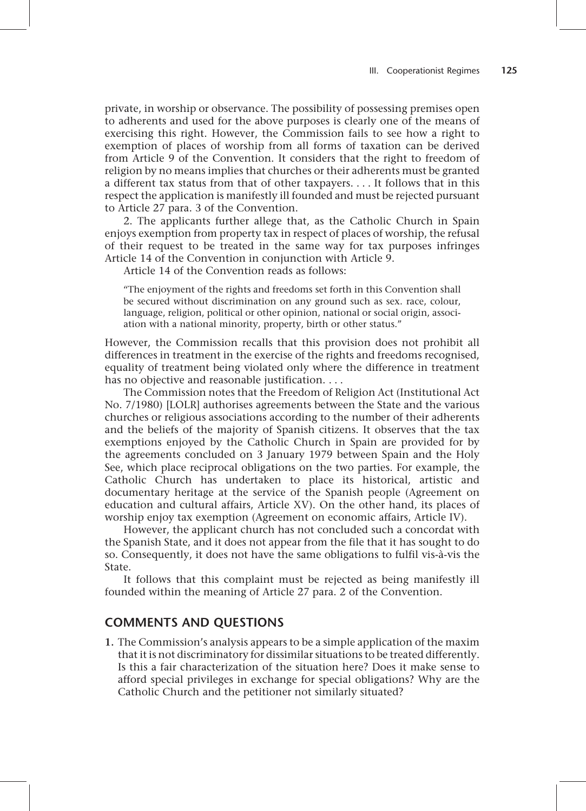private, in worship or observance. The possibility of possessing premises open to adherents and used for the above purposes is clearly one of the means of exercising this right. However, the Commission fails to see how a right to exemption of places of worship from all forms of taxation can be derived from Article 9 of the Convention. It considers that the right to freedom of religion by no means implies that churches or their adherents must be granted a different tax status from that of other taxpayers. . . . It follows that in this respect the application is manifestly ill founded and must be rejected pursuant to Article 27 para. 3 of the Convention.

2. The applicants further allege that, as the Catholic Church in Spain enjoys exemption from property tax in respect of places of worship, the refusal of their request to be treated in the same way for tax purposes infringes Article 14 of the Convention in conjunction with Article 9.

Article 14 of the Convention reads as follows:

''The enjoyment of the rights and freedoms set forth in this Convention shall be secured without discrimination on any ground such as sex. race, colour, language, religion, political or other opinion, national or social origin, association with a national minority, property, birth or other status.''

However, the Commission recalls that this provision does not prohibit all differences in treatment in the exercise of the rights and freedoms recognised, equality of treatment being violated only where the difference in treatment has no objective and reasonable justification. . . .

The Commission notes that the Freedom of Religion Act (Institutional Act No. 7/1980) [LOLR] authorises agreements between the State and the various churches or religious associations according to the number of their adherents and the beliefs of the majority of Spanish citizens. It observes that the tax exemptions enjoyed by the Catholic Church in Spain are provided for by the agreements concluded on 3 January 1979 between Spain and the Holy See, which place reciprocal obligations on the two parties. For example, the Catholic Church has undertaken to place its historical, artistic and documentary heritage at the service of the Spanish people (Agreement on education and cultural affairs, Article XV). On the other hand, its places of worship enjoy tax exemption (Agreement on economic affairs, Article IV).

However, the applicant church has not concluded such a concordat with the Spanish State, and it does not appear from the file that it has sought to do so. Consequently, it does not have the same obligations to fulfil vis-a`-vis the State.

It follows that this complaint must be rejected as being manifestly ill founded within the meaning of Article 27 para. 2 of the Convention.

#### COMMENTS AND QUESTIONS

1. The Commission's analysis appears to be a simple application of the maxim that it is not discriminatory for dissimilar situations to be treated differently. Is this a fair characterization of the situation here? Does it make sense to afford special privileges in exchange for special obligations? Why are the Catholic Church and the petitioner not similarly situated?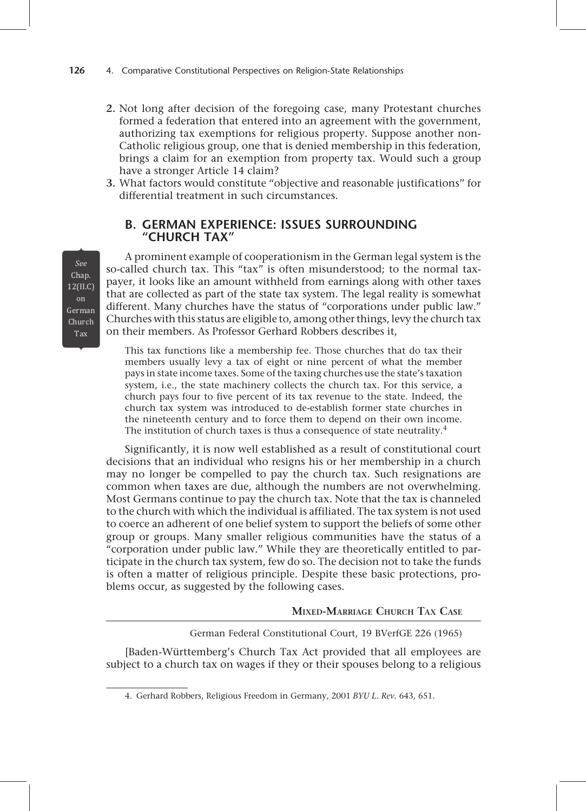- 2. Not long after decision of the foregoing case, many Protestant churches formed a federation that entered into an agreement with the government, authorizing tax exemptions for religious property. Suppose another non-Catholic religious group, one that is denied membership in this federation, brings a claim for an exemption from property tax. Would such a group have a stronger Article 14 claim?
- 3. What factors would constitute ''objective and reasonable justifications'' for differential treatment in such circumstances.

#### B. GERMAN EXPERIENCE: ISSUES SURROUNDING ''CHURCH TAX''

A prominent example of cooperationism in the German legal system is the so-called church tax. This "tax" is often misunderstood; to the normal taxpayer, it looks like an amount withheld from earnings along with other taxes that are collected as part of the state tax system. The legal reality is somewhat different. Many churches have the status of ''corporations under public law.'' Churches with this status are eligible to, among other things, levy the church tax on their members. As Professor Gerhard Robbers describes it,

This tax functions like a membership fee. Those churches that do tax their members usually levy a tax of eight or nine percent of what the member pays in state income taxes. Some of the taxing churches use the state's taxation system, i.e., the state machinery collects the church tax. For this service, a church pays four to five percent of its tax revenue to the state. Indeed, the church tax system was introduced to de-establish former state churches in the nineteenth century and to force them to depend on their own income. The institution of church taxes is thus a consequence of state neutrality.<sup>4</sup>

Significantly, it is now well established as a result of constitutional court decisions that an individual who resigns his or her membership in a church may no longer be compelled to pay the church tax. Such resignations are common when taxes are due, although the numbers are not overwhelming. Most Germans continue to pay the church tax. Note that the tax is channeled to the church with which the individual is affiliated. The tax system is not used to coerce an adherent of one belief system to support the beliefs of some other group or groups. Many smaller religious communities have the status of a ''corporation under public law.'' While they are theoretically entitled to participate in the church tax system, few do so. The decision not to take the funds is often a matter of religious principle. Despite these basic protections, problems occur, as suggested by the following cases.

MIXED-MARRIAGE CHURCH TAX CASE

German Federal Constitutional Court, 19 BVerfGE 226 (1965)

[Baden-Württemberg's Church Tax Act provided that all employees are subject to a church tax on wages if they or their spouses belong to a religious

*See*  Chap. 12(II.C) on German Church Tax

<sup>4.</sup> Gerhard Robbers, Religious Freedom in Germany, 2001 BYU L. Rev. 643, 651.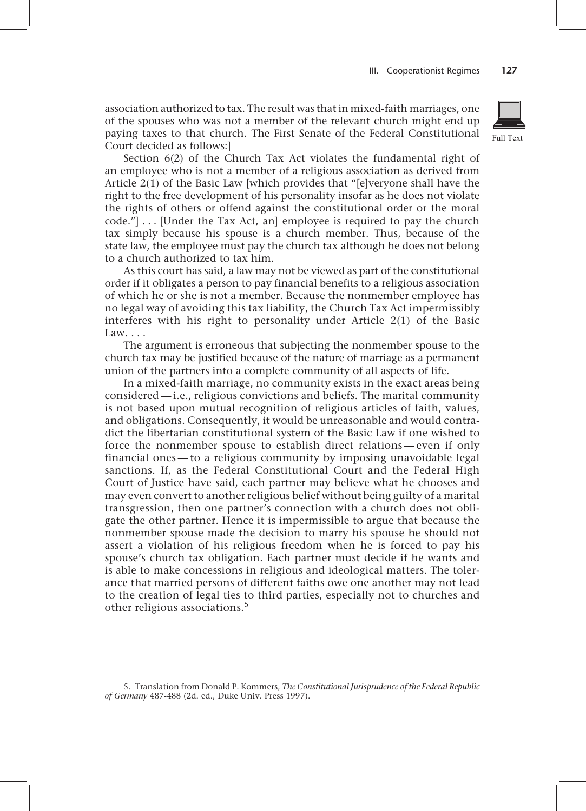association authorized to tax. The result was that in mixed-faith marriages, one of the spouses who was not a member of the relevant church might end up paying taxes to that church. The First Senate of the Federal Constitutional Court decided as follows:]



Section 6(2) of the Church Tax Act violates the fundamental right of an employee who is not a member of a religious association as derived from Article 2(1) of the Basic Law [which provides that ''[e]veryone shall have the right to the free development of his personality insofar as he does not violate the rights of others or offend against the constitutional order or the moral code.''] . . . [Under the Tax Act, an] employee is required to pay the church tax simply because his spouse is a church member. Thus, because of the state law, the employee must pay the church tax although he does not belong to a church authorized to tax him.

As this court has said, a law may not be viewed as part of the constitutional order if it obligates a person to pay financial benefits to a religious association of which he or she is not a member. Because the nonmember employee has no legal way of avoiding this tax liability, the Church Tax Act impermissibly interferes with his right to personality under Article 2(1) of the Basic  $Law$ .

The argument is erroneous that subjecting the nonmember spouse to the church tax may be justified because of the nature of marriage as a permanent union of the partners into a complete community of all aspects of life.

In a mixed-faith marriage, no community exists in the exact areas being considered — i.e., religious convictions and beliefs. The marital community is not based upon mutual recognition of religious articles of faith, values, and obligations. Consequently, it would be unreasonable and would contradict the libertarian constitutional system of the Basic Law if one wished to force the nonmember spouse to establish direct relations — even if only financial ones — to a religious community by imposing unavoidable legal sanctions. If, as the Federal Constitutional Court and the Federal High Court of Justice have said, each partner may believe what he chooses and may even convert to another religious belief without being guilty of a marital transgression, then one partner's connection with a church does not obligate the other partner. Hence it is impermissible to argue that because the nonmember spouse made the decision to marry his spouse he should not assert a violation of his religious freedom when he is forced to pay his spouse's church tax obligation. Each partner must decide if he wants and is able to make concessions in religious and ideological matters. The tolerance that married persons of different faiths owe one another may not lead to the creation of legal ties to third parties, especially not to churches and other religious associations.<sup>5</sup>

<sup>5.</sup> Translation from Donald P. Kommers, The Constitutional Jurisprudence of the Federal Republic of Germany 487-488 (2d. ed., Duke Univ. Press 1997).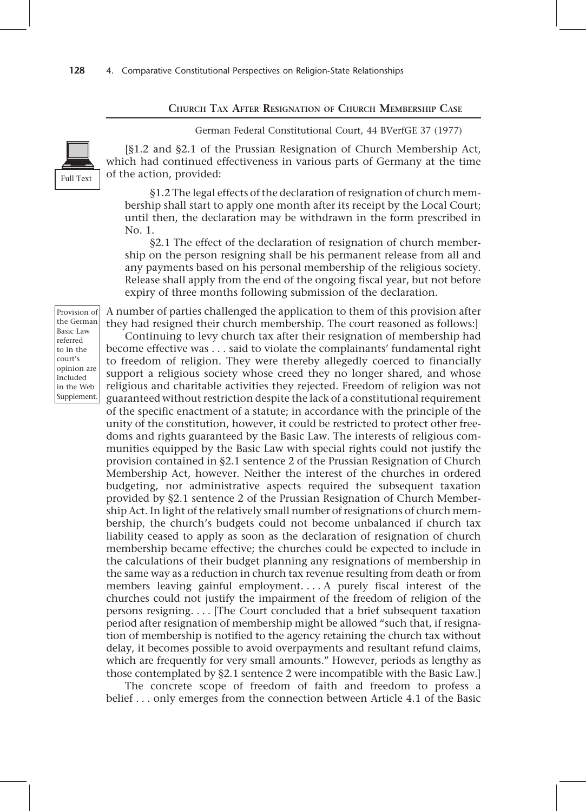#### CHURCH TAX AFTER RESIGNATION OF CHURCH MEMBERSHIP CASE

German Federal Constitutional Court, 44 BVerfGE 37 (1977)

Full Text

[§1.2 and §2.1 of the Prussian Resignation of Church Membership Act, which had continued effectiveness in various parts of Germany at the time of the action, provided:

§1.2 The legal effects of the declaration of resignation of church membership shall start to apply one month after its receipt by the Local Court; until then, the declaration may be withdrawn in the form prescribed in No. 1.

§2.1 The effect of the declaration of resignation of church membership on the person resigning shall be his permanent release from all and any payments based on his personal membership of the religious society. Release shall apply from the end of the ongoing fiscal year, but not before expiry of three months following submission of the declaration.

Provision of the German Basic Law referred to in the court's opinion are included in the Web Supplement. A number of parties challenged the application to them of this provision after they had resigned their church membership. The court reasoned as follows:] Continuing to levy church tax after their resignation of membership had become effective was . . . said to violate the complainants' fundamental right to freedom of religion. They were thereby allegedly coerced to financially support a religious society whose creed they no longer shared, and whose religious and charitable activities they rejected. Freedom of religion was not guaranteed without restriction despite the lack of a constitutional requirement of the specific enactment of a statute; in accordance with the principle of the unity of the constitution, however, it could be restricted to protect other freedoms and rights guaranteed by the Basic Law. The interests of religious communities equipped by the Basic Law with special rights could not justify the provision contained in §2.1 sentence 2 of the Prussian Resignation of Church Membership Act, however. Neither the interest of the churches in ordered budgeting, nor administrative aspects required the subsequent taxation provided by §2.1 sentence 2 of the Prussian Resignation of Church Membership Act. In light of the relatively small number of resignations of church membership, the church's budgets could not become unbalanced if church tax liability ceased to apply as soon as the declaration of resignation of church membership became effective; the churches could be expected to include in the calculations of their budget planning any resignations of membership in the same way as a reduction in church tax revenue resulting from death or from members leaving gainful employment. . . . A purely fiscal interest of the churches could not justify the impairment of the freedom of religion of the persons resigning. . . . [The Court concluded that a brief subsequent taxation period after resignation of membership might be allowed ''such that, if resignation of membership is notified to the agency retaining the church tax without delay, it becomes possible to avoid overpayments and resultant refund claims, which are frequently for very small amounts.'' However, periods as lengthy as those contemplated by §2.1 sentence 2 were incompatible with the Basic Law.]

The concrete scope of freedom of faith and freedom to profess a belief . . . only emerges from the connection between Article 4.1 of the Basic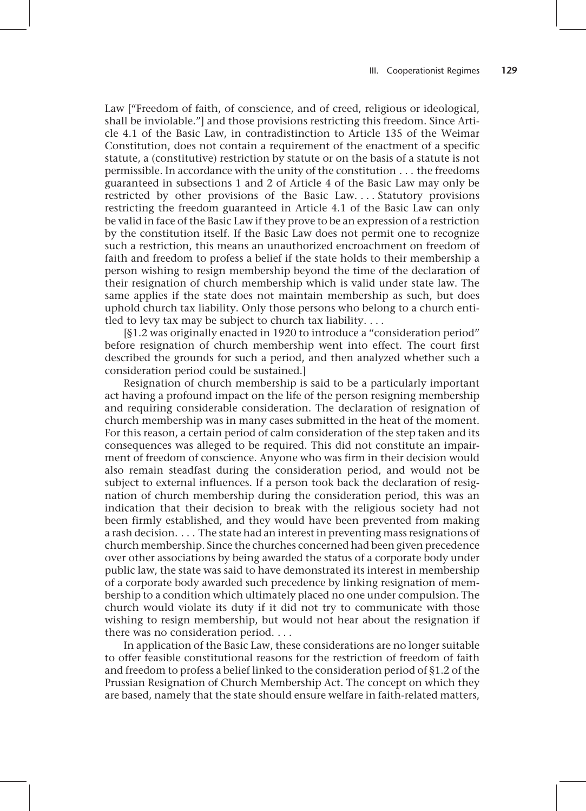Law [''Freedom of faith, of conscience, and of creed, religious or ideological, shall be inviolable.''] and those provisions restricting this freedom. Since Article 4.1 of the Basic Law, in contradistinction to Article 135 of the Weimar Constitution, does not contain a requirement of the enactment of a specific statute, a (constitutive) restriction by statute or on the basis of a statute is not permissible. In accordance with the unity of the constitution . . . the freedoms guaranteed in subsections 1 and 2 of Article 4 of the Basic Law may only be restricted by other provisions of the Basic Law. ... Statutory provisions restricting the freedom guaranteed in Article 4.1 of the Basic Law can only be valid in face of the Basic Law if they prove to be an expression of a restriction by the constitution itself. If the Basic Law does not permit one to recognize such a restriction, this means an unauthorized encroachment on freedom of faith and freedom to profess a belief if the state holds to their membership a person wishing to resign membership beyond the time of the declaration of their resignation of church membership which is valid under state law. The same applies if the state does not maintain membership as such, but does uphold church tax liability. Only those persons who belong to a church entitled to levy tax may be subject to church tax liability. . . .

[§1.2 was originally enacted in 1920 to introduce a ''consideration period'' before resignation of church membership went into effect. The court first described the grounds for such a period, and then analyzed whether such a consideration period could be sustained.]

Resignation of church membership is said to be a particularly important act having a profound impact on the life of the person resigning membership and requiring considerable consideration. The declaration of resignation of church membership was in many cases submitted in the heat of the moment. For this reason, a certain period of calm consideration of the step taken and its consequences was alleged to be required. This did not constitute an impairment of freedom of conscience. Anyone who was firm in their decision would also remain steadfast during the consideration period, and would not be subject to external influences. If a person took back the declaration of resignation of church membership during the consideration period, this was an indication that their decision to break with the religious society had not been firmly established, and they would have been prevented from making a rash decision. . . . The state had an interest in preventing mass resignations of church membership. Since the churches concerned had been given precedence over other associations by being awarded the status of a corporate body under public law, the state was said to have demonstrated its interest in membership of a corporate body awarded such precedence by linking resignation of membership to a condition which ultimately placed no one under compulsion. The church would violate its duty if it did not try to communicate with those wishing to resign membership, but would not hear about the resignation if there was no consideration period. . . .

In application of the Basic Law, these considerations are no longer suitable to offer feasible constitutional reasons for the restriction of freedom of faith and freedom to profess a belief linked to the consideration period of §1.2 of the Prussian Resignation of Church Membership Act. The concept on which they are based, namely that the state should ensure welfare in faith-related matters,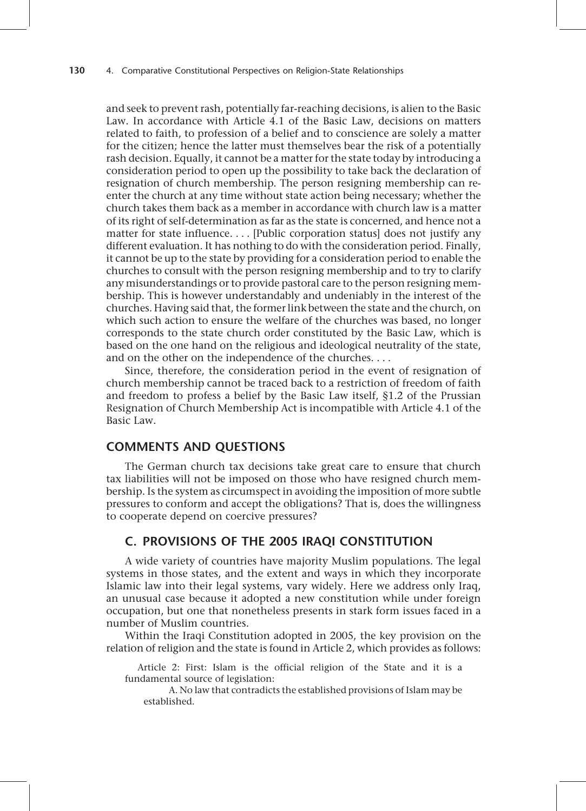and seek to prevent rash, potentially far-reaching decisions, is alien to the Basic Law. In accordance with Article 4.1 of the Basic Law, decisions on matters related to faith, to profession of a belief and to conscience are solely a matter for the citizen; hence the latter must themselves bear the risk of a potentially rash decision. Equally, it cannot be a matter for the state today by introducing a consideration period to open up the possibility to take back the declaration of resignation of church membership. The person resigning membership can reenter the church at any time without state action being necessary; whether the church takes them back as a member in accordance with church law is a matter of its right of self-determination as far as the state is concerned, and hence not a matter for state influence. . . . [Public corporation status] does not justify any different evaluation. It has nothing to do with the consideration period. Finally, it cannot be up to the state by providing for a consideration period to enable the churches to consult with the person resigning membership and to try to clarify any misunderstandings or to provide pastoral care to the person resigning membership. This is however understandably and undeniably in the interest of the churches. Having said that, the former link between the state and the church, on which such action to ensure the welfare of the churches was based, no longer corresponds to the state church order constituted by the Basic Law, which is based on the one hand on the religious and ideological neutrality of the state, and on the other on the independence of the churches. . . .

Since, therefore, the consideration period in the event of resignation of church membership cannot be traced back to a restriction of freedom of faith and freedom to profess a belief by the Basic Law itself, §1.2 of the Prussian Resignation of Church Membership Act is incompatible with Article 4.1 of the Basic Law.

### COMMENTS AND QUESTIONS

The German church tax decisions take great care to ensure that church tax liabilities will not be imposed on those who have resigned church membership. Is the system as circumspect in avoiding the imposition of more subtle pressures to conform and accept the obligations? That is, does the willingness to cooperate depend on coercive pressures?

### C. PROVISIONS OF THE 2005 IRAQI CONSTITUTION

A wide variety of countries have majority Muslim populations. The legal systems in those states, and the extent and ways in which they incorporate Islamic law into their legal systems, vary widely. Here we address only Iraq, an unusual case because it adopted a new constitution while under foreign occupation, but one that nonetheless presents in stark form issues faced in a number of Muslim countries.

Within the Iraqi Constitution adopted in 2005, the key provision on the relation of religion and the state is found in Article 2, which provides as follows:

Article 2: First: Islam is the official religion of the State and it is a fundamental source of legislation:

A. No law that contradicts the established provisions of Islam may be established.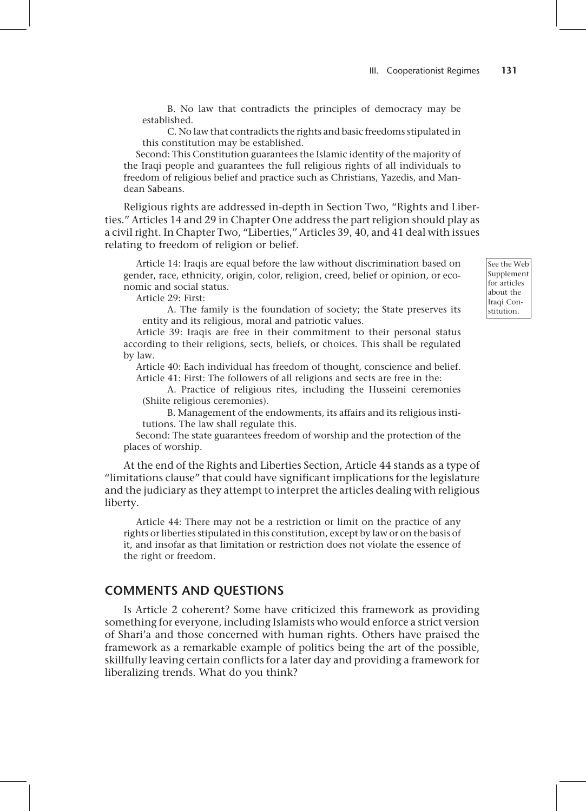B. No law that contradicts the principles of democracy may be established.

C. No law that contradicts the rights and basic freedoms stipulated in this constitution may be established.

Second: This Constitution guarantees the Islamic identity of the majority of the Iraqi people and guarantees the full religious rights of all individuals to freedom of religious belief and practice such as Christians, Yazedis, and Mandean Sabeans.

Religious rights are addressed in-depth in Section Two, ''Rights and Liberties.'' Articles 14 and 29 in Chapter One address the part religion should play as a civil right. In Chapter Two, ''Liberties,'' Articles 39, 40, and 41 deal with issues relating to freedom of religion or belief.

Article 14: Iraqis are equal before the law without discrimination based on gender, race, ethnicity, origin, color, religion, creed, belief or opinion, or economic and social status.

Article 29: First:

A. The family is the foundation of society; the State preserves its entity and its religious, moral and patriotic values.

Article 39: Iraqis are free in their commitment to their personal status according to their religions, sects, beliefs, or choices. This shall be regulated by law.

Article 40: Each individual has freedom of thought, conscience and belief. Article 41: First: The followers of all religions and sects are free in the:

A. Practice of religious rites, including the Husseini ceremonies (Shiite religious ceremonies).

B. Management of the endowments, its affairs and its religious institutions. The law shall regulate this.

Second: The state guarantees freedom of worship and the protection of the places of worship.

At the end of the Rights and Liberties Section, Article 44 stands as a type of ''limitations clause'' that could have significant implications for the legislature and the judiciary as they attempt to interpret the articles dealing with religious liberty.

Article 44: There may not be a restriction or limit on the practice of any rights or liberties stipulated in this constitution, except by law or on the basis of it, and insofar as that limitation or restriction does not violate the essence of the right or freedom.

#### COMMENTS AND QUESTIONS

Is Article 2 coherent? Some have criticized this framework as providing something for everyone, including Islamists who would enforce a strict version of Shari'a and those concerned with human rights. Others have praised the framework as a remarkable example of politics being the art of the possible, skillfully leaving certain conflicts for a later day and providing a framework for liberalizing trends. What do you think?

See the Web Supplement for articles about the Iraqi Constitution.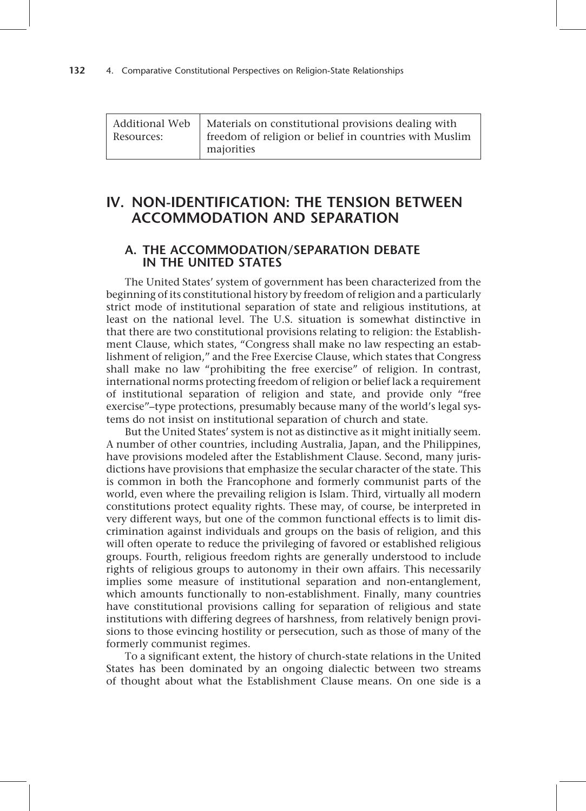|            | Additional Web   Materials on constitutional provisions dealing with |
|------------|----------------------------------------------------------------------|
| Resources: | freedom of religion or belief in countries with Muslim               |
|            | I majorities                                                         |

## IV. NON-IDENTIFICATION: THE TENSION BETWEEN ACCOMMODATION AND SEPARATION

### A. THE ACCOMMODATION/SEPARATION DEBATE IN THE UNITED STATES

The United States' system of government has been characterized from the beginning of its constitutional history by freedom of religion and a particularly strict mode of institutional separation of state and religious institutions, at least on the national level. The U.S. situation is somewhat distinctive in that there are two constitutional provisions relating to religion: the Establishment Clause, which states, "Congress shall make no law respecting an establishment of religion,'' and the Free Exercise Clause, which states that Congress shall make no law ''prohibiting the free exercise'' of religion. In contrast, international norms protecting freedom of religion or belief lack a requirement of institutional separation of religion and state, and provide only ''free exercise''–type protections, presumably because many of the world's legal systems do not insist on institutional separation of church and state.

But the United States' system is not as distinctive as it might initially seem. A number of other countries, including Australia, Japan, and the Philippines, have provisions modeled after the Establishment Clause. Second, many jurisdictions have provisions that emphasize the secular character of the state. This is common in both the Francophone and formerly communist parts of the world, even where the prevailing religion is Islam. Third, virtually all modern constitutions protect equality rights. These may, of course, be interpreted in very different ways, but one of the common functional effects is to limit discrimination against individuals and groups on the basis of religion, and this will often operate to reduce the privileging of favored or established religious groups. Fourth, religious freedom rights are generally understood to include rights of religious groups to autonomy in their own affairs. This necessarily implies some measure of institutional separation and non-entanglement, which amounts functionally to non-establishment. Finally, many countries have constitutional provisions calling for separation of religious and state institutions with differing degrees of harshness, from relatively benign provisions to those evincing hostility or persecution, such as those of many of the formerly communist regimes.

To a significant extent, the history of church-state relations in the United States has been dominated by an ongoing dialectic between two streams of thought about what the Establishment Clause means. On one side is a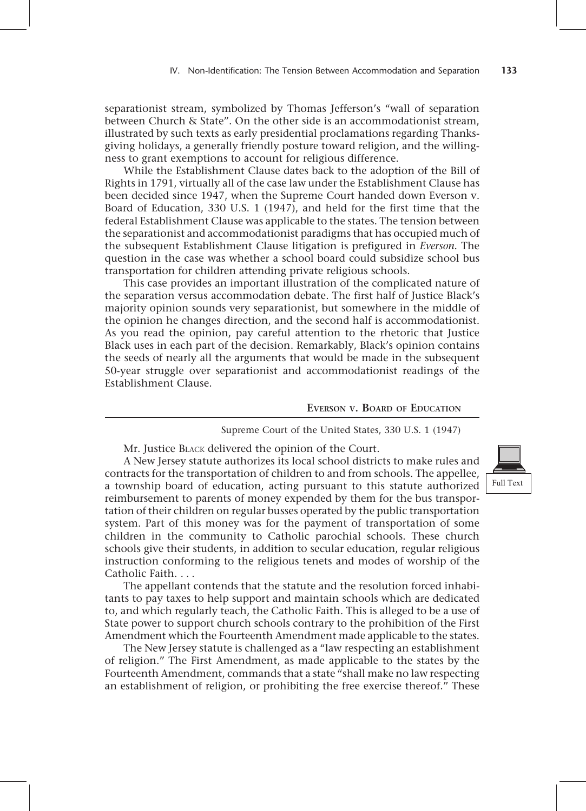separationist stream, symbolized by Thomas Jefferson's ''wall of separation between Church & State''. On the other side is an accommodationist stream, illustrated by such texts as early presidential proclamations regarding Thanksgiving holidays, a generally friendly posture toward religion, and the willingness to grant exemptions to account for religious difference.

While the Establishment Clause dates back to the adoption of the Bill of Rights in 1791, virtually all of the case law under the Establishment Clause has been decided since 1947, when the Supreme Court handed down Everson v. Board of Education, 330 U.S. 1 (1947), and held for the first time that the federal Establishment Clause was applicable to the states. The tension between the separationist and accommodationist paradigms that has occupied much of the subsequent Establishment Clause litigation is prefigured in Everson. The question in the case was whether a school board could subsidize school bus transportation for children attending private religious schools.

This case provides an important illustration of the complicated nature of the separation versus accommodation debate. The first half of Justice Black's majority opinion sounds very separationist, but somewhere in the middle of the opinion he changes direction, and the second half is accommodationist. As you read the opinion, pay careful attention to the rhetoric that Justice Black uses in each part of the decision. Remarkably, Black's opinion contains the seeds of nearly all the arguments that would be made in the subsequent 50-year struggle over separationist and accommodationist readings of the Establishment Clause.

EVERSON V. BOARD OF EDUCATION

#### Supreme Court of the United States, 330 U.S. 1 (1947)

Mr. Justice BLACK delivered the opinion of the Court.

A New Jersey statute authorizes its local school districts to make rules and contracts for the transportation of children to and from schools. The appellee, a township board of education, acting pursuant to this statute authorized reimbursement to parents of money expended by them for the bus transportation of their children on regular busses operated by the public transportation system. Part of this money was for the payment of transportation of some children in the community to Catholic parochial schools. These church schools give their students, in addition to secular education, regular religious instruction conforming to the religious tenets and modes of worship of the Catholic Faith. . . .

The appellant contends that the statute and the resolution forced inhabitants to pay taxes to help support and maintain schools which are dedicated to, and which regularly teach, the Catholic Faith. This is alleged to be a use of State power to support church schools contrary to the prohibition of the First Amendment which the Fourteenth Amendment made applicable to the states.

The New Jersey statute is challenged as a ''law respecting an establishment of religion.'' The First Amendment, as made applicable to the states by the Fourteenth Amendment, commands that a state ''shall make no law respecting an establishment of religion, or prohibiting the free exercise thereof.'' These

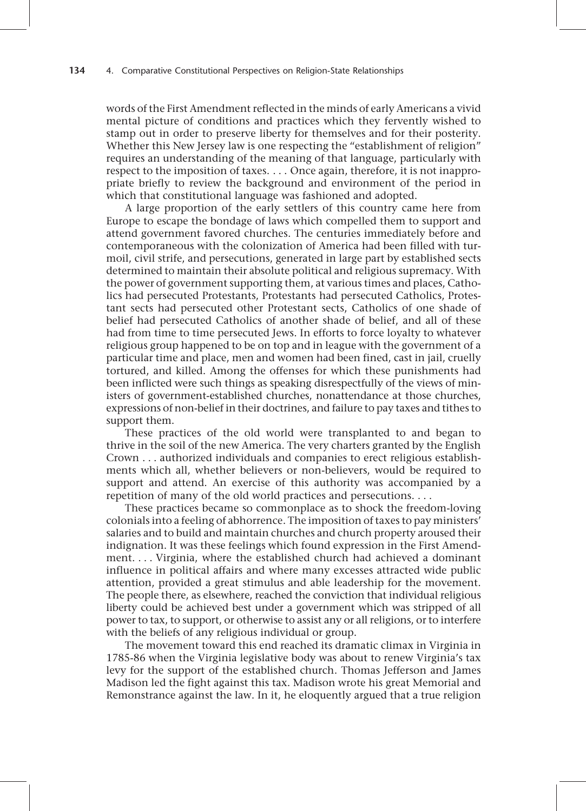words of the First Amendment reflected in the minds of early Americans a vivid mental picture of conditions and practices which they fervently wished to stamp out in order to preserve liberty for themselves and for their posterity. Whether this New Jersey law is one respecting the "establishment of religion" requires an understanding of the meaning of that language, particularly with respect to the imposition of taxes. . . . Once again, therefore, it is not inappropriate briefly to review the background and environment of the period in which that constitutional language was fashioned and adopted.

A large proportion of the early settlers of this country came here from Europe to escape the bondage of laws which compelled them to support and attend government favored churches. The centuries immediately before and contemporaneous with the colonization of America had been filled with turmoil, civil strife, and persecutions, generated in large part by established sects determined to maintain their absolute political and religious supremacy. With the power of government supporting them, at various times and places, Catholics had persecuted Protestants, Protestants had persecuted Catholics, Protestant sects had persecuted other Protestant sects, Catholics of one shade of belief had persecuted Catholics of another shade of belief, and all of these had from time to time persecuted Jews. In efforts to force loyalty to whatever religious group happened to be on top and in league with the government of a particular time and place, men and women had been fined, cast in jail, cruelly tortured, and killed. Among the offenses for which these punishments had been inflicted were such things as speaking disrespectfully of the views of ministers of government-established churches, nonattendance at those churches, expressions of non-belief in their doctrines, and failure to pay taxes and tithes to support them.

These practices of the old world were transplanted to and began to thrive in the soil of the new America. The very charters granted by the English Crown . . . authorized individuals and companies to erect religious establishments which all, whether believers or non-believers, would be required to support and attend. An exercise of this authority was accompanied by a repetition of many of the old world practices and persecutions. . . .

These practices became so commonplace as to shock the freedom-loving colonials into a feeling of abhorrence. The imposition of taxes to pay ministers' salaries and to build and maintain churches and church property aroused their indignation. It was these feelings which found expression in the First Amendment. . . . Virginia, where the established church had achieved a dominant influence in political affairs and where many excesses attracted wide public attention, provided a great stimulus and able leadership for the movement. The people there, as elsewhere, reached the conviction that individual religious liberty could be achieved best under a government which was stripped of all power to tax, to support, or otherwise to assist any or all religions, or to interfere with the beliefs of any religious individual or group.

The movement toward this end reached its dramatic climax in Virginia in 1785-86 when the Virginia legislative body was about to renew Virginia's tax levy for the support of the established church. Thomas Jefferson and James Madison led the fight against this tax. Madison wrote his great Memorial and Remonstrance against the law. In it, he eloquently argued that a true religion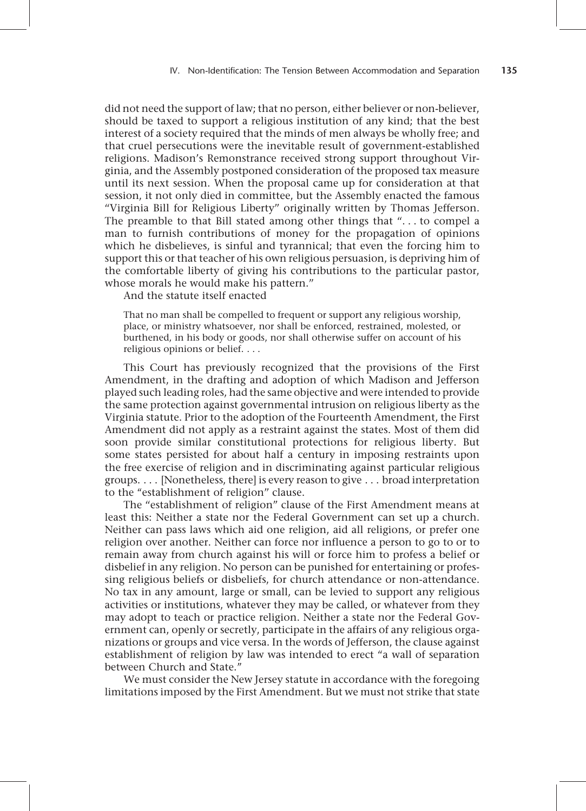did not need the support of law; that no person, either believer or non-believer, should be taxed to support a religious institution of any kind; that the best interest of a society required that the minds of men always be wholly free; and that cruel persecutions were the inevitable result of government-established religions. Madison's Remonstrance received strong support throughout Virginia, and the Assembly postponed consideration of the proposed tax measure until its next session. When the proposal came up for consideration at that session, it not only died in committee, but the Assembly enacted the famous ''Virginia Bill for Religious Liberty'' originally written by Thomas Jefferson. The preamble to that Bill stated among other things that ''. . . to compel a man to furnish contributions of money for the propagation of opinions which he disbelieves, is sinful and tyrannical; that even the forcing him to support this or that teacher of his own religious persuasion, is depriving him of the comfortable liberty of giving his contributions to the particular pastor, whose morals he would make his pattern.''

And the statute itself enacted

That no man shall be compelled to frequent or support any religious worship, place, or ministry whatsoever, nor shall be enforced, restrained, molested, or burthened, in his body or goods, nor shall otherwise suffer on account of his religious opinions or belief. . . .

This Court has previously recognized that the provisions of the First Amendment, in the drafting and adoption of which Madison and Jefferson played such leading roles, had the same objective and were intended to provide the same protection against governmental intrusion on religious liberty as the Virginia statute. Prior to the adoption of the Fourteenth Amendment, the First Amendment did not apply as a restraint against the states. Most of them did soon provide similar constitutional protections for religious liberty. But some states persisted for about half a century in imposing restraints upon the free exercise of religion and in discriminating against particular religious groups. . . . [Nonetheless, there] is every reason to give . . . broad interpretation to the "establishment of religion" clause.

The ''establishment of religion'' clause of the First Amendment means at least this: Neither a state nor the Federal Government can set up a church. Neither can pass laws which aid one religion, aid all religions, or prefer one religion over another. Neither can force nor influence a person to go to or to remain away from church against his will or force him to profess a belief or disbelief in any religion. No person can be punished for entertaining or professing religious beliefs or disbeliefs, for church attendance or non-attendance. No tax in any amount, large or small, can be levied to support any religious activities or institutions, whatever they may be called, or whatever from they may adopt to teach or practice religion. Neither a state nor the Federal Government can, openly or secretly, participate in the affairs of any religious organizations or groups and vice versa. In the words of Jefferson, the clause against establishment of religion by law was intended to erect ''a wall of separation between Church and State.''

We must consider the New Jersey statute in accordance with the foregoing limitations imposed by the First Amendment. But we must not strike that state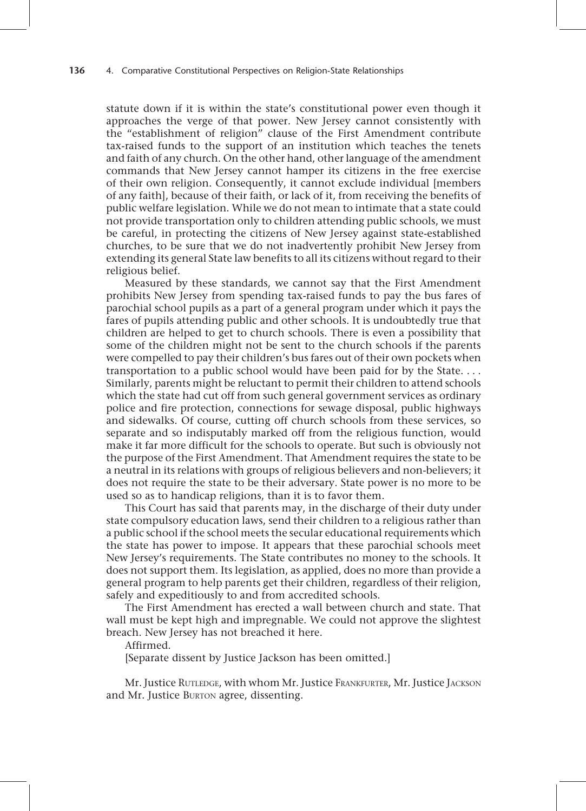statute down if it is within the state's constitutional power even though it approaches the verge of that power. New Jersey cannot consistently with the ''establishment of religion'' clause of the First Amendment contribute tax-raised funds to the support of an institution which teaches the tenets and faith of any church. On the other hand, other language of the amendment commands that New Jersey cannot hamper its citizens in the free exercise of their own religion. Consequently, it cannot exclude individual [members of any faith], because of their faith, or lack of it, from receiving the benefits of public welfare legislation. While we do not mean to intimate that a state could not provide transportation only to children attending public schools, we must be careful, in protecting the citizens of New Jersey against state-established churches, to be sure that we do not inadvertently prohibit New Jersey from extending its general State law benefits to all its citizens without regard to their religious belief.

Measured by these standards, we cannot say that the First Amendment prohibits New Jersey from spending tax-raised funds to pay the bus fares of parochial school pupils as a part of a general program under which it pays the fares of pupils attending public and other schools. It is undoubtedly true that children are helped to get to church schools. There is even a possibility that some of the children might not be sent to the church schools if the parents were compelled to pay their children's bus fares out of their own pockets when transportation to a public school would have been paid for by the State. . . . Similarly, parents might be reluctant to permit their children to attend schools which the state had cut off from such general government services as ordinary police and fire protection, connections for sewage disposal, public highways and sidewalks. Of course, cutting off church schools from these services, so separate and so indisputably marked off from the religious function, would make it far more difficult for the schools to operate. But such is obviously not the purpose of the First Amendment. That Amendment requires the state to be a neutral in its relations with groups of religious believers and non-believers; it does not require the state to be their adversary. State power is no more to be used so as to handicap religions, than it is to favor them.

This Court has said that parents may, in the discharge of their duty under state compulsory education laws, send their children to a religious rather than a public school if the school meets the secular educational requirements which the state has power to impose. It appears that these parochial schools meet New Jersey's requirements. The State contributes no money to the schools. It does not support them. Its legislation, as applied, does no more than provide a general program to help parents get their children, regardless of their religion, safely and expeditiously to and from accredited schools.

The First Amendment has erected a wall between church and state. That wall must be kept high and impregnable. We could not approve the slightest breach. New Jersey has not breached it here.

Affirmed.

[Separate dissent by Justice Jackson has been omitted.]

Mr. Justice RUTLEDGE, with whom Mr. Justice FRANKFURTER, Mr. Justice JACKSON and Mr. Justice BURTON agree, dissenting.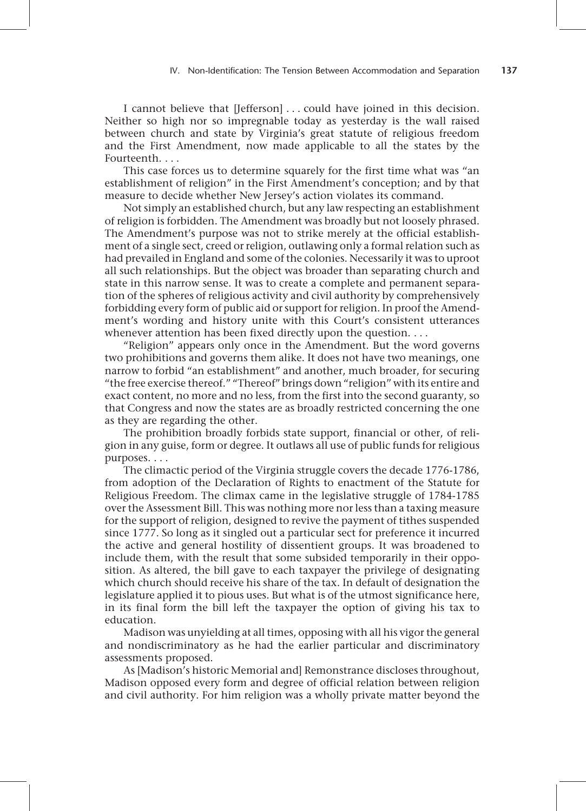I cannot believe that [Jefferson] . . . could have joined in this decision. Neither so high nor so impregnable today as yesterday is the wall raised between church and state by Virginia's great statute of religious freedom and the First Amendment, now made applicable to all the states by the Fourteenth. . . .

This case forces us to determine squarely for the first time what was ''an establishment of religion'' in the First Amendment's conception; and by that measure to decide whether New Jersey's action violates its command.

Not simply an established church, but any law respecting an establishment of religion is forbidden. The Amendment was broadly but not loosely phrased. The Amendment's purpose was not to strike merely at the official establishment of a single sect, creed or religion, outlawing only a formal relation such as had prevailed in England and some of the colonies. Necessarily it was to uproot all such relationships. But the object was broader than separating church and state in this narrow sense. It was to create a complete and permanent separation of the spheres of religious activity and civil authority by comprehensively forbidding every form of public aid or support for religion. In proof the Amendment's wording and history unite with this Court's consistent utterances whenever attention has been fixed directly upon the question. . . .

''Religion'' appears only once in the Amendment. But the word governs two prohibitions and governs them alike. It does not have two meanings, one narrow to forbid ''an establishment'' and another, much broader, for securing "the free exercise thereof." "Thereof" brings down "religion" with its entire and exact content, no more and no less, from the first into the second guaranty, so that Congress and now the states are as broadly restricted concerning the one as they are regarding the other.

The prohibition broadly forbids state support, financial or other, of religion in any guise, form or degree. It outlaws all use of public funds for religious purposes. . . .

The climactic period of the Virginia struggle covers the decade 1776-1786, from adoption of the Declaration of Rights to enactment of the Statute for Religious Freedom. The climax came in the legislative struggle of 1784-1785 over the Assessment Bill. This was nothing more nor less than a taxing measure for the support of religion, designed to revive the payment of tithes suspended since 1777. So long as it singled out a particular sect for preference it incurred the active and general hostility of dissentient groups. It was broadened to include them, with the result that some subsided temporarily in their opposition. As altered, the bill gave to each taxpayer the privilege of designating which church should receive his share of the tax. In default of designation the legislature applied it to pious uses. But what is of the utmost significance here, in its final form the bill left the taxpayer the option of giving his tax to education.

Madison was unyielding at all times, opposing with all his vigor the general and nondiscriminatory as he had the earlier particular and discriminatory assessments proposed.

As [Madison's historic Memorial and] Remonstrance discloses throughout, Madison opposed every form and degree of official relation between religion and civil authority. For him religion was a wholly private matter beyond the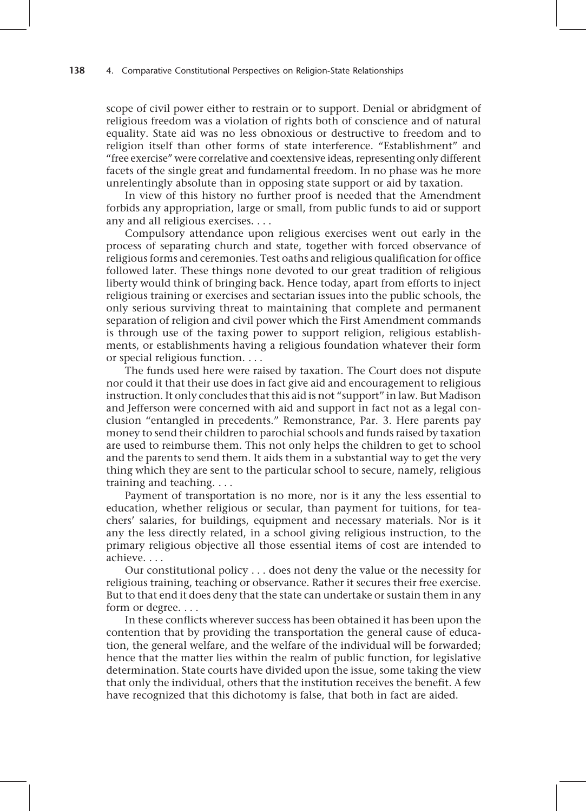scope of civil power either to restrain or to support. Denial or abridgment of religious freedom was a violation of rights both of conscience and of natural equality. State aid was no less obnoxious or destructive to freedom and to religion itself than other forms of state interference. ''Establishment'' and ''free exercise'' were correlative and coextensive ideas, representing only different facets of the single great and fundamental freedom. In no phase was he more unrelentingly absolute than in opposing state support or aid by taxation.

In view of this history no further proof is needed that the Amendment forbids any appropriation, large or small, from public funds to aid or support any and all religious exercises. . . .

Compulsory attendance upon religious exercises went out early in the process of separating church and state, together with forced observance of religious forms and ceremonies. Test oaths and religious qualification for office followed later. These things none devoted to our great tradition of religious liberty would think of bringing back. Hence today, apart from efforts to inject religious training or exercises and sectarian issues into the public schools, the only serious surviving threat to maintaining that complete and permanent separation of religion and civil power which the First Amendment commands is through use of the taxing power to support religion, religious establishments, or establishments having a religious foundation whatever their form or special religious function. . . .

The funds used here were raised by taxation. The Court does not dispute nor could it that their use does in fact give aid and encouragement to religious instruction. It only concludes that this aid is not ''support'' in law. But Madison and Jefferson were concerned with aid and support in fact not as a legal conclusion ''entangled in precedents.'' Remonstrance, Par. 3. Here parents pay money to send their children to parochial schools and funds raised by taxation are used to reimburse them. This not only helps the children to get to school and the parents to send them. It aids them in a substantial way to get the very thing which they are sent to the particular school to secure, namely, religious training and teaching. . . .

Payment of transportation is no more, nor is it any the less essential to education, whether religious or secular, than payment for tuitions, for teachers' salaries, for buildings, equipment and necessary materials. Nor is it any the less directly related, in a school giving religious instruction, to the primary religious objective all those essential items of cost are intended to achieve. . . .

Our constitutional policy . . . does not deny the value or the necessity for religious training, teaching or observance. Rather it secures their free exercise. But to that end it does deny that the state can undertake or sustain them in any form or degree. . . .

In these conflicts wherever success has been obtained it has been upon the contention that by providing the transportation the general cause of education, the general welfare, and the welfare of the individual will be forwarded; hence that the matter lies within the realm of public function, for legislative determination. State courts have divided upon the issue, some taking the view that only the individual, others that the institution receives the benefit. A few have recognized that this dichotomy is false, that both in fact are aided.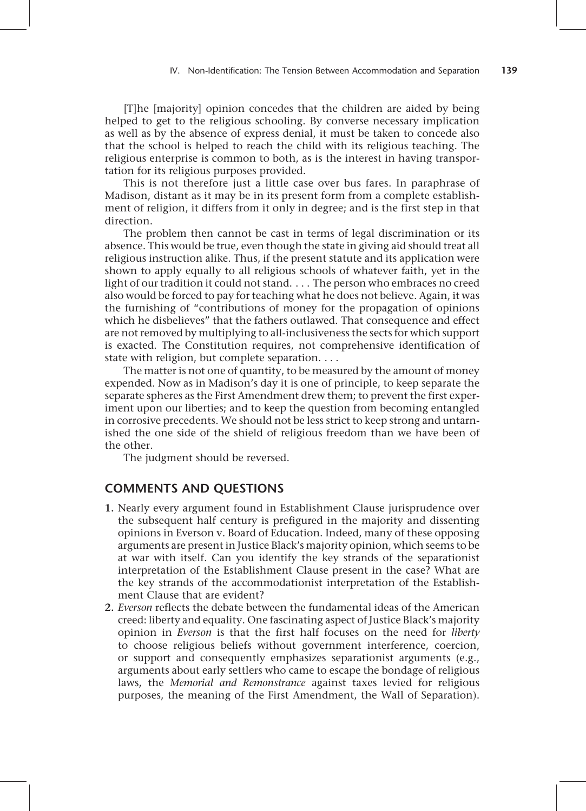[T]he [majority] opinion concedes that the children are aided by being helped to get to the religious schooling. By converse necessary implication as well as by the absence of express denial, it must be taken to concede also that the school is helped to reach the child with its religious teaching. The religious enterprise is common to both, as is the interest in having transportation for its religious purposes provided.

This is not therefore just a little case over bus fares. In paraphrase of Madison, distant as it may be in its present form from a complete establishment of religion, it differs from it only in degree; and is the first step in that direction.

The problem then cannot be cast in terms of legal discrimination or its absence. This would be true, even though the state in giving aid should treat all religious instruction alike. Thus, if the present statute and its application were shown to apply equally to all religious schools of whatever faith, yet in the light of our tradition it could not stand. . . . The person who embraces no creed also would be forced to pay for teaching what he does not believe. Again, it was the furnishing of ''contributions of money for the propagation of opinions which he disbelieves'' that the fathers outlawed. That consequence and effect are not removed by multiplying to all-inclusiveness the sects for which support is exacted. The Constitution requires, not comprehensive identification of state with religion, but complete separation. . . .

The matter is not one of quantity, to be measured by the amount of money expended. Now as in Madison's day it is one of principle, to keep separate the separate spheres as the First Amendment drew them; to prevent the first experiment upon our liberties; and to keep the question from becoming entangled in corrosive precedents. We should not be less strict to keep strong and untarnished the one side of the shield of religious freedom than we have been of the other.

The judgment should be reversed.

#### COMMENTS AND QUESTIONS

- 1. Nearly every argument found in Establishment Clause jurisprudence over the subsequent half century is prefigured in the majority and dissenting opinions in Everson v. Board of Education. Indeed, many of these opposing arguments are present in Justice Black's majority opinion, which seems to be at war with itself. Can you identify the key strands of the separationist interpretation of the Establishment Clause present in the case? What are the key strands of the accommodationist interpretation of the Establishment Clause that are evident?
- 2. Everson reflects the debate between the fundamental ideas of the American creed: liberty and equality. One fascinating aspect of Justice Black's majority opinion in Everson is that the first half focuses on the need for liberty to choose religious beliefs without government interference, coercion, or support and consequently emphasizes separationist arguments (e.g., arguments about early settlers who came to escape the bondage of religious laws, the Memorial and Remonstrance against taxes levied for religious purposes, the meaning of the First Amendment, the Wall of Separation).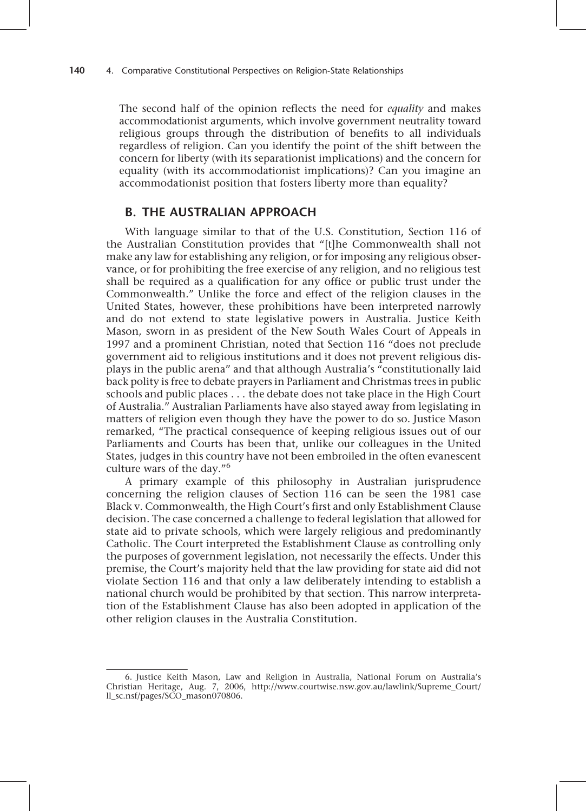The second half of the opinion reflects the need for equality and makes accommodationist arguments, which involve government neutrality toward religious groups through the distribution of benefits to all individuals regardless of religion. Can you identify the point of the shift between the concern for liberty (with its separationist implications) and the concern for equality (with its accommodationist implications)? Can you imagine an accommodationist position that fosters liberty more than equality?

### B. THE AUSTRALIAN APPROACH

With language similar to that of the U.S. Constitution, Section 116 of the Australian Constitution provides that ''[t]he Commonwealth shall not make any law for establishing any religion, or for imposing any religious observance, or for prohibiting the free exercise of any religion, and no religious test shall be required as a qualification for any office or public trust under the Commonwealth.'' Unlike the force and effect of the religion clauses in the United States, however, these prohibitions have been interpreted narrowly and do not extend to state legislative powers in Australia. Justice Keith Mason, sworn in as president of the New South Wales Court of Appeals in 1997 and a prominent Christian, noted that Section 116 ''does not preclude government aid to religious institutions and it does not prevent religious displays in the public arena'' and that although Australia's ''constitutionally laid back polity is free to debate prayers in Parliament and Christmas trees in public schools and public places . . . the debate does not take place in the High Court of Australia.'' Australian Parliaments have also stayed away from legislating in matters of religion even though they have the power to do so. Justice Mason remarked, ''The practical consequence of keeping religious issues out of our Parliaments and Courts has been that, unlike our colleagues in the United States, judges in this country have not been embroiled in the often evanescent culture wars of the day.''<sup>6</sup>

A primary example of this philosophy in Australian jurisprudence concerning the religion clauses of Section 116 can be seen the 1981 case Black v. Commonwealth, the High Court's first and only Establishment Clause decision. The case concerned a challenge to federal legislation that allowed for state aid to private schools, which were largely religious and predominantly Catholic. The Court interpreted the Establishment Clause as controlling only the purposes of government legislation, not necessarily the effects. Under this premise, the Court's majority held that the law providing for state aid did not violate Section 116 and that only a law deliberately intending to establish a national church would be prohibited by that section. This narrow interpretation of the Establishment Clause has also been adopted in application of the other religion clauses in the Australia Constitution.

<sup>6.</sup> Justice Keith Mason, Law and Religion in Australia, National Forum on Australia's Christian Heritage, Aug. 7, 2006, http://www.courtwise.nsw.gov.au/lawlink/Supreme\_Court/ ll\_sc.nsf/pages/SCO\_mason070806.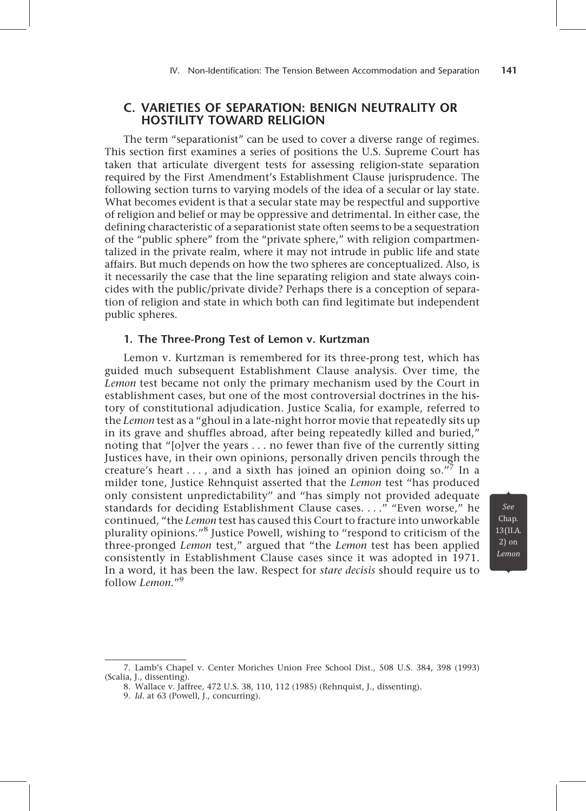#### C. VARIETIES OF SEPARATION: BENIGN NEUTRALITY OR HOSTILITY TOWARD RELIGION

The term "separationist" can be used to cover a diverse range of regimes. This section first examines a series of positions the U.S. Supreme Court has taken that articulate divergent tests for assessing religion-state separation required by the First Amendment's Establishment Clause jurisprudence. The following section turns to varying models of the idea of a secular or lay state. What becomes evident is that a secular state may be respectful and supportive of religion and belief or may be oppressive and detrimental. In either case, the defining characteristic of a separationist state often seems to be a sequestration of the ''public sphere'' from the ''private sphere,'' with religion compartmentalized in the private realm, where it may not intrude in public life and state affairs. But much depends on how the two spheres are conceptualized. Also, is it necessarily the case that the line separating religion and state always coincides with the public/private divide? Perhaps there is a conception of separation of religion and state in which both can find legitimate but independent public spheres.

#### 1. The Three-Prong Test of Lemon v. Kurtzman

Lemon v. Kurtzman is remembered for its three-prong test, which has guided much subsequent Establishment Clause analysis. Over time, the Lemon test became not only the primary mechanism used by the Court in establishment cases, but one of the most controversial doctrines in the history of constitutional adjudication. Justice Scalia, for example, referred to the Lemon test as a "ghoul in a late-night horror movie that repeatedly sits up in its grave and shuffles abroad, after being repeatedly killed and buried,'' noting that ''[o]ver the years . . . no fewer than five of the currently sitting Justices have, in their own opinions, personally driven pencils through the creature's heart  $\dots$ , and a sixth has joined an opinion doing so."<sup>7</sup> In a milder tone, Justice Rehnquist asserted that the Lemon test ''has produced only consistent unpredictability'' and ''has simply not provided adequate standards for deciding Establishment Clause cases. . . ." "Even worse," he continued, ''the Lemon test has caused this Court to fracture into unworkable plurality opinions."<sup>8</sup> Justice Powell, wishing to "respond to criticism of the three-pronged Lemon test," argued that "the Lemon test has been applied consistently in Establishment Clause cases since it was adopted in 1971. In a word, it has been the law. Respect for stare decisis should require us to follow Lemon<sup>"9</sup>

*See*  Chap. 13(II.A. 2) on *Lemon*

<sup>7.</sup> Lamb's Chapel v. Center Moriches Union Free School Dist., 508 U.S. 384, 398 (1993) (Scalia, J., dissenting).

<sup>8.</sup> Wallace v. Jaffree, 472 U.S. 38, 110, 112 (1985) (Rehnquist, J., dissenting).

<sup>9.</sup> Id. at 63 (Powell, J., concurring).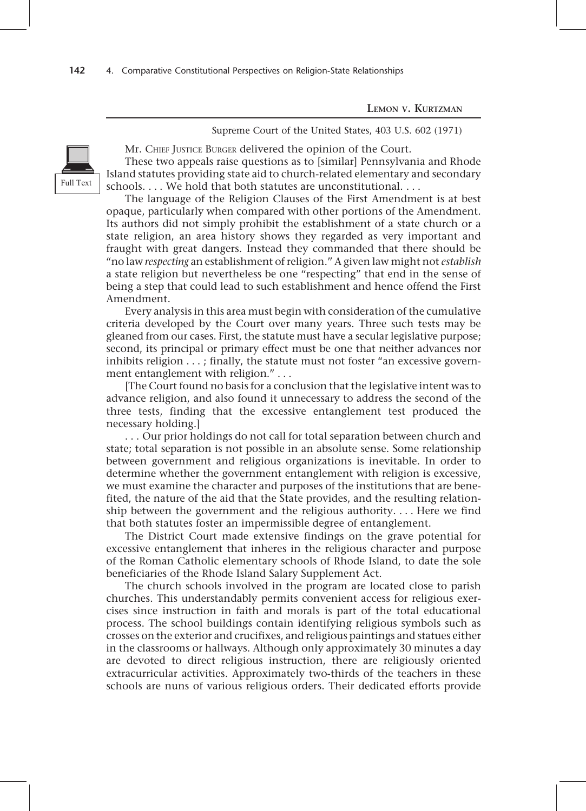Supreme Court of the United States, 403 U.S. 602 (1971)



Mr. CHIEF JUSTICE BURGER delivered the opinion of the Court. These two appeals raise questions as to [similar] Pennsylvania and Rhode Island statutes providing state aid to church-related elementary and secondary schools. . . . We hold that both statutes are unconstitutional. . . .

The language of the Religion Clauses of the First Amendment is at best opaque, particularly when compared with other portions of the Amendment. Its authors did not simply prohibit the establishment of a state church or a state religion, an area history shows they regarded as very important and fraught with great dangers. Instead they commanded that there should be ''no law respecting an establishment of religion.'' A given law might not establish a state religion but nevertheless be one ''respecting'' that end in the sense of being a step that could lead to such establishment and hence offend the First Amendment.

Every analysis in this area must begin with consideration of the cumulative criteria developed by the Court over many years. Three such tests may be gleaned from our cases. First, the statute must have a secular legislative purpose; second, its principal or primary effect must be one that neither advances nor inhibits religion  $\dots$ ; finally, the statute must not foster "an excessive government entanglement with religion." . . .

[The Court found no basis for a conclusion that the legislative intent was to advance religion, and also found it unnecessary to address the second of the three tests, finding that the excessive entanglement test produced the necessary holding.]

. . . Our prior holdings do not call for total separation between church and state; total separation is not possible in an absolute sense. Some relationship between government and religious organizations is inevitable. In order to determine whether the government entanglement with religion is excessive, we must examine the character and purposes of the institutions that are benefited, the nature of the aid that the State provides, and the resulting relationship between the government and the religious authority. . . . Here we find that both statutes foster an impermissible degree of entanglement.

The District Court made extensive findings on the grave potential for excessive entanglement that inheres in the religious character and purpose of the Roman Catholic elementary schools of Rhode Island, to date the sole beneficiaries of the Rhode Island Salary Supplement Act.

The church schools involved in the program are located close to parish churches. This understandably permits convenient access for religious exercises since instruction in faith and morals is part of the total educational process. The school buildings contain identifying religious symbols such as crosses on the exterior and crucifixes, and religious paintings and statues either in the classrooms or hallways. Although only approximately 30 minutes a day are devoted to direct religious instruction, there are religiously oriented extracurricular activities. Approximately two-thirds of the teachers in these schools are nuns of various religious orders. Their dedicated efforts provide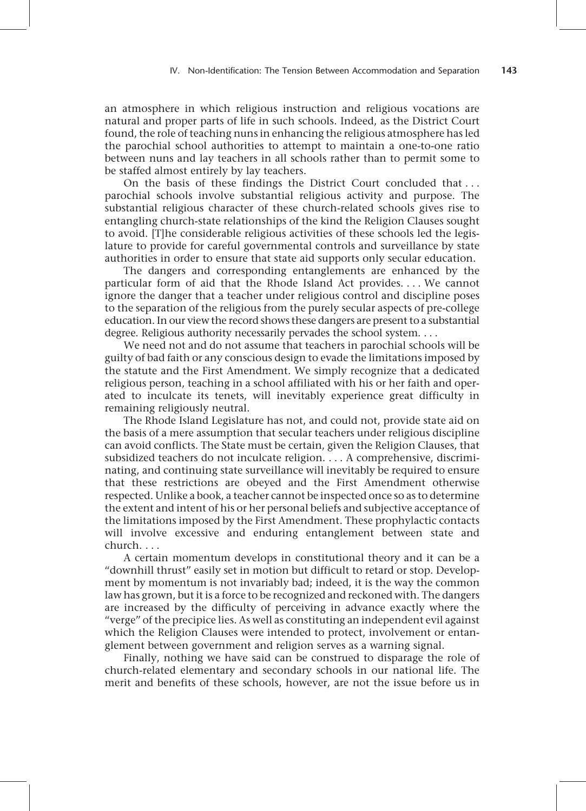an atmosphere in which religious instruction and religious vocations are natural and proper parts of life in such schools. Indeed, as the District Court found, the role of teaching nuns in enhancing the religious atmosphere has led the parochial school authorities to attempt to maintain a one-to-one ratio between nuns and lay teachers in all schools rather than to permit some to be staffed almost entirely by lay teachers.

On the basis of these findings the District Court concluded that . . . parochial schools involve substantial religious activity and purpose. The substantial religious character of these church-related schools gives rise to entangling church-state relationships of the kind the Religion Clauses sought to avoid. [T]he considerable religious activities of these schools led the legislature to provide for careful governmental controls and surveillance by state authorities in order to ensure that state aid supports only secular education.

The dangers and corresponding entanglements are enhanced by the particular form of aid that the Rhode Island Act provides. . . . We cannot ignore the danger that a teacher under religious control and discipline poses to the separation of the religious from the purely secular aspects of pre-college education. In our view the record shows these dangers are present to a substantial degree. Religious authority necessarily pervades the school system. . . .

We need not and do not assume that teachers in parochial schools will be guilty of bad faith or any conscious design to evade the limitations imposed by the statute and the First Amendment. We simply recognize that a dedicated religious person, teaching in a school affiliated with his or her faith and operated to inculcate its tenets, will inevitably experience great difficulty in remaining religiously neutral.

The Rhode Island Legislature has not, and could not, provide state aid on the basis of a mere assumption that secular teachers under religious discipline can avoid conflicts. The State must be certain, given the Religion Clauses, that subsidized teachers do not inculcate religion. . . . A comprehensive, discriminating, and continuing state surveillance will inevitably be required to ensure that these restrictions are obeyed and the First Amendment otherwise respected. Unlike a book, a teacher cannot be inspected once so as to determine the extent and intent of his or her personal beliefs and subjective acceptance of the limitations imposed by the First Amendment. These prophylactic contacts will involve excessive and enduring entanglement between state and church. . . .

A certain momentum develops in constitutional theory and it can be a ''downhill thrust'' easily set in motion but difficult to retard or stop. Development by momentum is not invariably bad; indeed, it is the way the common law has grown, but it is a force to be recognized and reckoned with. The dangers are increased by the difficulty of perceiving in advance exactly where the ''verge'' of the precipice lies. As well as constituting an independent evil against which the Religion Clauses were intended to protect, involvement or entanglement between government and religion serves as a warning signal.

Finally, nothing we have said can be construed to disparage the role of church-related elementary and secondary schools in our national life. The merit and benefits of these schools, however, are not the issue before us in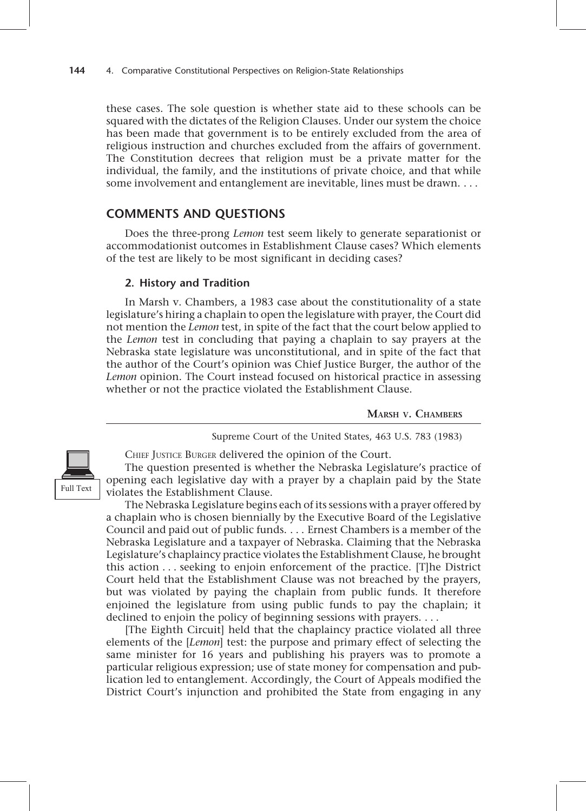these cases. The sole question is whether state aid to these schools can be squared with the dictates of the Religion Clauses. Under our system the choice has been made that government is to be entirely excluded from the area of religious instruction and churches excluded from the affairs of government. The Constitution decrees that religion must be a private matter for the individual, the family, and the institutions of private choice, and that while some involvement and entanglement are inevitable, lines must be drawn. . . .

## COMMENTS AND QUESTIONS

Does the three-prong Lemon test seem likely to generate separationist or accommodationist outcomes in Establishment Clause cases? Which elements of the test are likely to be most significant in deciding cases?

#### 2. History and Tradition

In Marsh v. Chambers, a 1983 case about the constitutionality of a state legislature's hiring a chaplain to open the legislature with prayer, the Court did not mention the Lemon test, in spite of the fact that the court below applied to the Lemon test in concluding that paying a chaplain to say prayers at the Nebraska state legislature was unconstitutional, and in spite of the fact that the author of the Court's opinion was Chief Justice Burger, the author of the Lemon opinion. The Court instead focused on historical practice in assessing whether or not the practice violated the Establishment Clause.

MARSH V. CHAMBERS

#### Supreme Court of the United States, 463 U.S. 783 (1983)



CHIEF JUSTICE BURGER delivered the opinion of the Court.

The question presented is whether the Nebraska Legislature's practice of opening each legislative day with a prayer by a chaplain paid by the State violates the Establishment Clause.

The Nebraska Legislature begins each of its sessions with a prayer offered by a chaplain who is chosen biennially by the Executive Board of the Legislative Council and paid out of public funds. . . . Ernest Chambers is a member of the Nebraska Legislature and a taxpayer of Nebraska. Claiming that the Nebraska Legislature's chaplaincy practice violates the Establishment Clause, he brought this action . . . seeking to enjoin enforcement of the practice. [T]he District Court held that the Establishment Clause was not breached by the prayers, but was violated by paying the chaplain from public funds. It therefore enjoined the legislature from using public funds to pay the chaplain; it declined to enjoin the policy of beginning sessions with prayers. . . .

[The Eighth Circuit] held that the chaplaincy practice violated all three elements of the [Lemon] test: the purpose and primary effect of selecting the same minister for 16 years and publishing his prayers was to promote a particular religious expression; use of state money for compensation and publication led to entanglement. Accordingly, the Court of Appeals modified the District Court's injunction and prohibited the State from engaging in any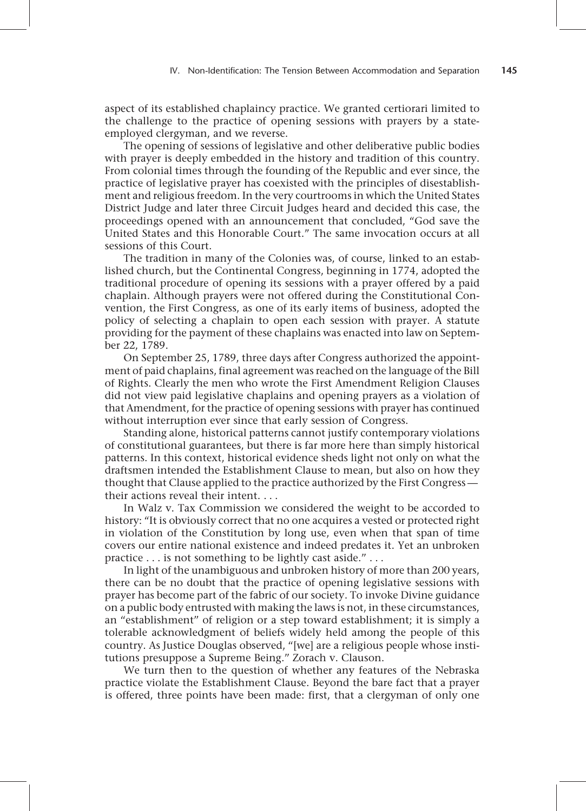aspect of its established chaplaincy practice. We granted certiorari limited to the challenge to the practice of opening sessions with prayers by a stateemployed clergyman, and we reverse.

The opening of sessions of legislative and other deliberative public bodies with prayer is deeply embedded in the history and tradition of this country. From colonial times through the founding of the Republic and ever since, the practice of legislative prayer has coexisted with the principles of disestablishment and religious freedom. In the very courtrooms in which the United States District Judge and later three Circuit Judges heard and decided this case, the proceedings opened with an announcement that concluded, ''God save the United States and this Honorable Court.'' The same invocation occurs at all sessions of this Court.

The tradition in many of the Colonies was, of course, linked to an established church, but the Continental Congress, beginning in 1774, adopted the traditional procedure of opening its sessions with a prayer offered by a paid chaplain. Although prayers were not offered during the Constitutional Convention, the First Congress, as one of its early items of business, adopted the policy of selecting a chaplain to open each session with prayer. A statute providing for the payment of these chaplains was enacted into law on September 22, 1789.

On September 25, 1789, three days after Congress authorized the appointment of paid chaplains, final agreement was reached on the language of the Bill of Rights. Clearly the men who wrote the First Amendment Religion Clauses did not view paid legislative chaplains and opening prayers as a violation of that Amendment, for the practice of opening sessions with prayer has continued without interruption ever since that early session of Congress.

Standing alone, historical patterns cannot justify contemporary violations of constitutional guarantees, but there is far more here than simply historical patterns. In this context, historical evidence sheds light not only on what the draftsmen intended the Establishment Clause to mean, but also on how they thought that Clause applied to the practice authorized by the First Congress their actions reveal their intent. . . .

In Walz v. Tax Commission we considered the weight to be accorded to history: ''It is obviously correct that no one acquires a vested or protected right in violation of the Constitution by long use, even when that span of time covers our entire national existence and indeed predates it. Yet an unbroken practice . . . is not something to be lightly cast aside." . . .

In light of the unambiguous and unbroken history of more than 200 years, there can be no doubt that the practice of opening legislative sessions with prayer has become part of the fabric of our society. To invoke Divine guidance on a public body entrusted with making the laws is not, in these circumstances, an "establishment" of religion or a step toward establishment; it is simply a tolerable acknowledgment of beliefs widely held among the people of this country. As Justice Douglas observed, ''[we] are a religious people whose institutions presuppose a Supreme Being.'' Zorach v. Clauson.

We turn then to the question of whether any features of the Nebraska practice violate the Establishment Clause. Beyond the bare fact that a prayer is offered, three points have been made: first, that a clergyman of only one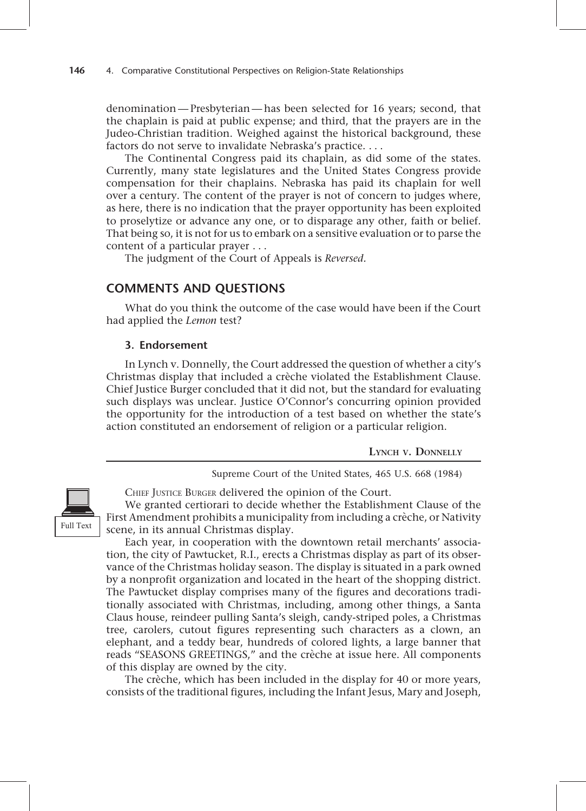denomination — Presbyterian — has been selected for 16 years; second, that the chaplain is paid at public expense; and third, that the prayers are in the Judeo-Christian tradition. Weighed against the historical background, these factors do not serve to invalidate Nebraska's practice. . . .

The Continental Congress paid its chaplain, as did some of the states. Currently, many state legislatures and the United States Congress provide compensation for their chaplains. Nebraska has paid its chaplain for well over a century. The content of the prayer is not of concern to judges where, as here, there is no indication that the prayer opportunity has been exploited to proselytize or advance any one, or to disparage any other, faith or belief. That being so, it is not for us to embark on a sensitive evaluation or to parse the content of a particular prayer . . .

The judgment of the Court of Appeals is Reversed.

#### COMMENTS AND QUESTIONS

What do you think the outcome of the case would have been if the Court had applied the Lemon test?

#### 3. Endorsement

In Lynch v. Donnelly, the Court addressed the question of whether a city's Christmas display that included a crèche violated the Establishment Clause. Chief Justice Burger concluded that it did not, but the standard for evaluating such displays was unclear. Justice O'Connor's concurring opinion provided the opportunity for the introduction of a test based on whether the state's action constituted an endorsement of religion or a particular religion.

LYNCH V. DONNELLY

Supreme Court of the United States, 465 U.S. 668 (1984)



CHIEF JUSTICE BURGER delivered the opinion of the Court. We granted certiorari to decide whether the Establishment Clause of the First Amendment prohibits a municipality from including a crèche, or Nativity scene, in its annual Christmas display.

Each year, in cooperation with the downtown retail merchants' association, the city of Pawtucket, R.I., erects a Christmas display as part of its observance of the Christmas holiday season. The display is situated in a park owned by a nonprofit organization and located in the heart of the shopping district. The Pawtucket display comprises many of the figures and decorations traditionally associated with Christmas, including, among other things, a Santa Claus house, reindeer pulling Santa's sleigh, candy-striped poles, a Christmas tree, carolers, cutout figures representing such characters as a clown, an elephant, and a teddy bear, hundreds of colored lights, a large banner that reads "SEASONS GREETINGS," and the crèche at issue here. All components of this display are owned by the city.

The crèche, which has been included in the display for 40 or more years, consists of the traditional figures, including the Infant Jesus, Mary and Joseph,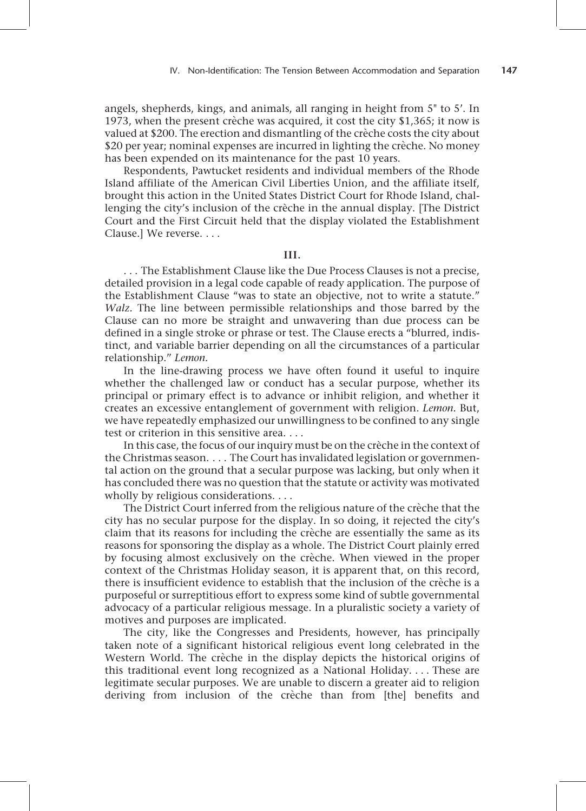angels, shepherds, kings, and animals, all ranging in height from 5" to 5'. In 1973, when the present crèche was acquired, it cost the city  $$1,365$ ; it now is valued at \$200. The erection and dismantling of the crèche costs the city about \$20 per year; nominal expenses are incurred in lighting the crèche. No money has been expended on its maintenance for the past 10 years.

Respondents, Pawtucket residents and individual members of the Rhode Island affiliate of the American Civil Liberties Union, and the affiliate itself, brought this action in the United States District Court for Rhode Island, challenging the city's inclusion of the crèche in the annual display. [The District Court and the First Circuit held that the display violated the Establishment Clause.] We reverse. . . .

III.

. . . The Establishment Clause like the Due Process Clauses is not a precise, detailed provision in a legal code capable of ready application. The purpose of the Establishment Clause ''was to state an objective, not to write a statute.'' Walz. The line between permissible relationships and those barred by the Clause can no more be straight and unwavering than due process can be defined in a single stroke or phrase or test. The Clause erects a ''blurred, indistinct, and variable barrier depending on all the circumstances of a particular relationship.'' Lemon.

In the line-drawing process we have often found it useful to inquire whether the challenged law or conduct has a secular purpose, whether its principal or primary effect is to advance or inhibit religion, and whether it creates an excessive entanglement of government with religion. Lemon. But, we have repeatedly emphasized our unwillingness to be confined to any single test or criterion in this sensitive area. . . .

In this case, the focus of our inquiry must be on the crèche in the context of the Christmas season. . . . The Court has invalidated legislation or governmental action on the ground that a secular purpose was lacking, but only when it has concluded there was no question that the statute or activity was motivated wholly by religious considerations. . . .

The District Court inferred from the religious nature of the crèche that the city has no secular purpose for the display. In so doing, it rejected the city's claim that its reasons for including the crèche are essentially the same as its reasons for sponsoring the display as a whole. The District Court plainly erred by focusing almost exclusively on the crèche. When viewed in the proper context of the Christmas Holiday season, it is apparent that, on this record, there is insufficient evidence to establish that the inclusion of the crèche is a purposeful or surreptitious effort to express some kind of subtle governmental advocacy of a particular religious message. In a pluralistic society a variety of motives and purposes are implicated.

The city, like the Congresses and Presidents, however, has principally taken note of a significant historical religious event long celebrated in the Western World. The crèche in the display depicts the historical origins of this traditional event long recognized as a National Holiday. . . . These are legitimate secular purposes. We are unable to discern a greater aid to religion deriving from inclusion of the crèche than from [the] benefits and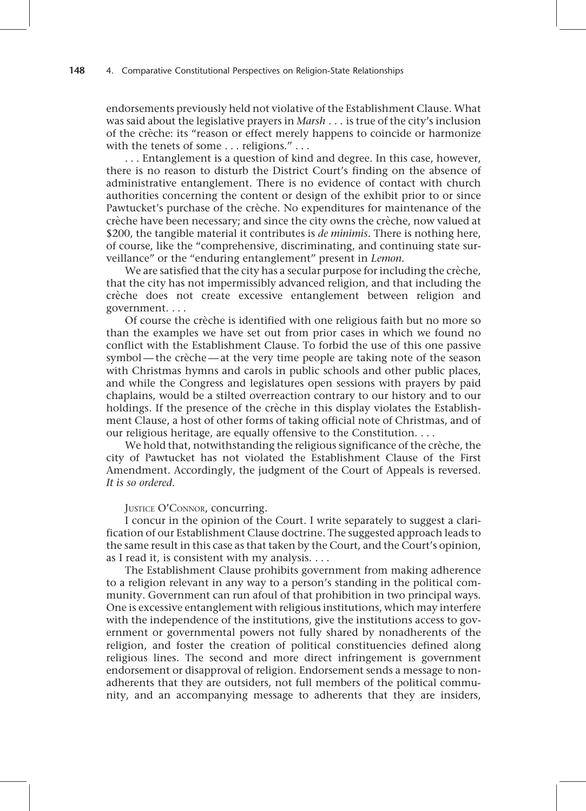endorsements previously held not violative of the Establishment Clause. What was said about the legislative prayers in *Marsh* . . . is true of the city's inclusion of the crèche: its "reason or effect merely happens to coincide or harmonize with the tenets of some . . . religions." . . .

. . . Entanglement is a question of kind and degree. In this case, however, there is no reason to disturb the District Court's finding on the absence of administrative entanglement. There is no evidence of contact with church authorities concerning the content or design of the exhibit prior to or since Pawtucket's purchase of the crèche. No expenditures for maintenance of the crèche have been necessary; and since the city owns the crèche, now valued at \$200, the tangible material it contributes is *de minimis*. There is nothing here, of course, like the ''comprehensive, discriminating, and continuing state surveillance'' or the ''enduring entanglement'' present in Lemon.

We are satisfied that the city has a secular purpose for including the crèche, that the city has not impermissibly advanced religion, and that including the cre`che does not create excessive entanglement between religion and government. . . .

Of course the crèche is identified with one religious faith but no more so than the examples we have set out from prior cases in which we found no conflict with the Establishment Clause. To forbid the use of this one passive symbol — the crèche — at the very time people are taking note of the season with Christmas hymns and carols in public schools and other public places, and while the Congress and legislatures open sessions with prayers by paid chaplains, would be a stilted overreaction contrary to our history and to our holdings. If the presence of the crèche in this display violates the Establishment Clause, a host of other forms of taking official note of Christmas, and of our religious heritage, are equally offensive to the Constitution. . . .

We hold that, notwithstanding the religious significance of the crèche, the city of Pawtucket has not violated the Establishment Clause of the First Amendment. Accordingly, the judgment of the Court of Appeals is reversed. It is so ordered.

JUSTICE O'CONNOR, concurring.

I concur in the opinion of the Court. I write separately to suggest a clarification of our Establishment Clause doctrine. The suggested approach leads to the same result in this case as that taken by the Court, and the Court's opinion, as I read it, is consistent with my analysis. . . .

The Establishment Clause prohibits government from making adherence to a religion relevant in any way to a person's standing in the political community. Government can run afoul of that prohibition in two principal ways. One is excessive entanglement with religious institutions, which may interfere with the independence of the institutions, give the institutions access to government or governmental powers not fully shared by nonadherents of the religion, and foster the creation of political constituencies defined along religious lines. The second and more direct infringement is government endorsement or disapproval of religion. Endorsement sends a message to nonadherents that they are outsiders, not full members of the political community, and an accompanying message to adherents that they are insiders,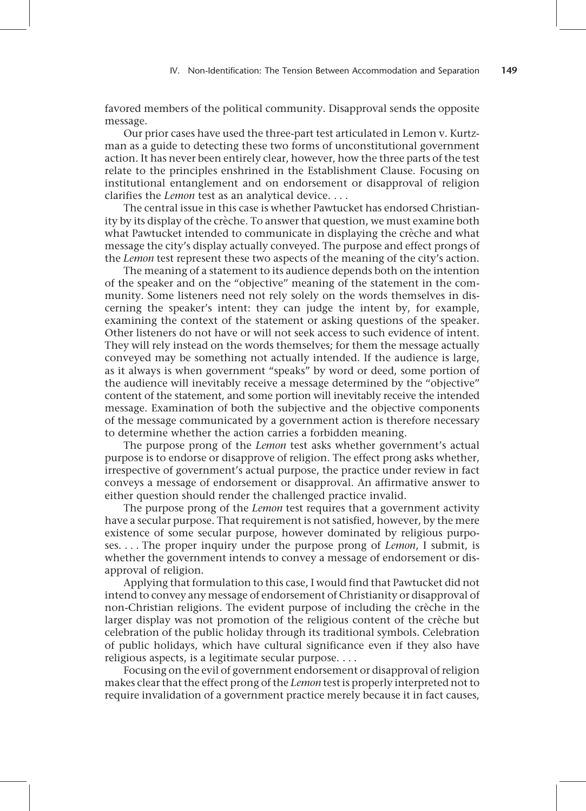favored members of the political community. Disapproval sends the opposite message.

Our prior cases have used the three-part test articulated in Lemon v. Kurtzman as a guide to detecting these two forms of unconstitutional government action. It has never been entirely clear, however, how the three parts of the test relate to the principles enshrined in the Establishment Clause. Focusing on institutional entanglement and on endorsement or disapproval of religion clarifies the Lemon test as an analytical device. . . .

The central issue in this case is whether Pawtucket has endorsed Christianity by its display of the crèche. To answer that question, we must examine both what Pawtucket intended to communicate in displaying the crèche and what message the city's display actually conveyed. The purpose and effect prongs of the Lemon test represent these two aspects of the meaning of the city's action.

The meaning of a statement to its audience depends both on the intention of the speaker and on the ''objective'' meaning of the statement in the community. Some listeners need not rely solely on the words themselves in discerning the speaker's intent: they can judge the intent by, for example, examining the context of the statement or asking questions of the speaker. Other listeners do not have or will not seek access to such evidence of intent. They will rely instead on the words themselves; for them the message actually conveyed may be something not actually intended. If the audience is large, as it always is when government ''speaks'' by word or deed, some portion of the audience will inevitably receive a message determined by the ''objective'' content of the statement, and some portion will inevitably receive the intended message. Examination of both the subjective and the objective components of the message communicated by a government action is therefore necessary to determine whether the action carries a forbidden meaning.

The purpose prong of the *Lemon* test asks whether government's actual purpose is to endorse or disapprove of religion. The effect prong asks whether, irrespective of government's actual purpose, the practice under review in fact conveys a message of endorsement or disapproval. An affirmative answer to either question should render the challenged practice invalid.

The purpose prong of the Lemon test requires that a government activity have a secular purpose. That requirement is not satisfied, however, by the mere existence of some secular purpose, however dominated by religious purposes. . . . The proper inquiry under the purpose prong of Lemon, I submit, is whether the government intends to convey a message of endorsement or disapproval of religion.

Applying that formulation to this case, I would find that Pawtucket did not intend to convey any message of endorsement of Christianity or disapproval of non-Christian religions. The evident purpose of including the crèche in the larger display was not promotion of the religious content of the crèche but celebration of the public holiday through its traditional symbols. Celebration of public holidays, which have cultural significance even if they also have religious aspects, is a legitimate secular purpose. . . .

Focusing on the evil of government endorsement or disapproval of religion makes clear that the effect prong of the *Lemon* test is properly interpreted not to require invalidation of a government practice merely because it in fact causes,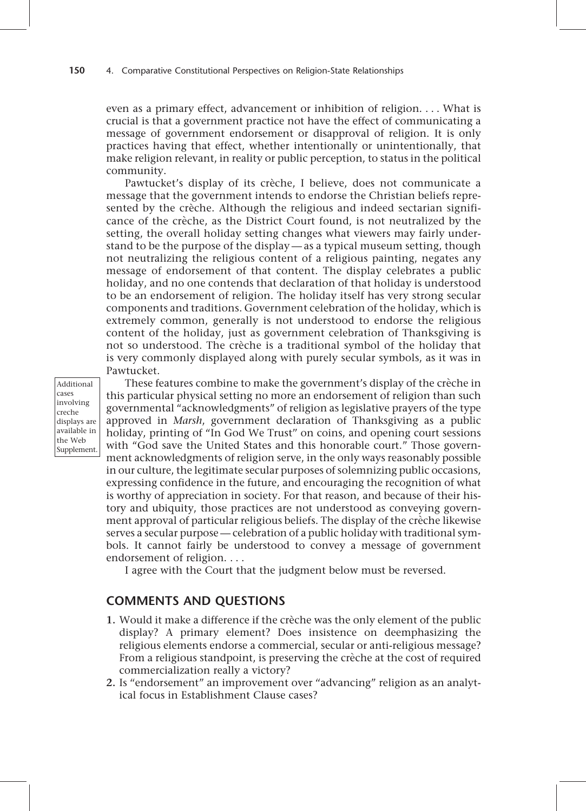even as a primary effect, advancement or inhibition of religion. . . . What is crucial is that a government practice not have the effect of communicating a message of government endorsement or disapproval of religion. It is only practices having that effect, whether intentionally or unintentionally, that make religion relevant, in reality or public perception, to status in the political community.

Pawtucket's display of its crèche, I believe, does not communicate a message that the government intends to endorse the Christian beliefs represented by the crèche. Although the religious and indeed sectarian significance of the crèche, as the District Court found, is not neutralized by the setting, the overall holiday setting changes what viewers may fairly understand to be the purpose of the display — as a typical museum setting, though not neutralizing the religious content of a religious painting, negates any message of endorsement of that content. The display celebrates a public holiday, and no one contends that declaration of that holiday is understood to be an endorsement of religion. The holiday itself has very strong secular components and traditions. Government celebration of the holiday, which is extremely common, generally is not understood to endorse the religious content of the holiday, just as government celebration of Thanksgiving is not so understood. The crèche is a traditional symbol of the holiday that is very commonly displayed along with purely secular symbols, as it was in Pawtucket.

Additional cases involving creche displays are available in the Web Supplement.

These features combine to make the government's display of the crèche in this particular physical setting no more an endorsement of religion than such governmental ''acknowledgments'' of religion as legislative prayers of the type approved in Marsh, government declaration of Thanksgiving as a public holiday, printing of ''In God We Trust'' on coins, and opening court sessions with "God save the United States and this honorable court." Those government acknowledgments of religion serve, in the only ways reasonably possible in our culture, the legitimate secular purposes of solemnizing public occasions, expressing confidence in the future, and encouraging the recognition of what is worthy of appreciation in society. For that reason, and because of their history and ubiquity, those practices are not understood as conveying government approval of particular religious beliefs. The display of the crèche likewise serves a secular purpose — celebration of a public holiday with traditional symbols. It cannot fairly be understood to convey a message of government endorsement of religion. . . .

I agree with the Court that the judgment below must be reversed.

## COMMENTS AND QUESTIONS

- 1. Would it make a difference if the crèche was the only element of the public display? A primary element? Does insistence on deemphasizing the religious elements endorse a commercial, secular or anti-religious message? From a religious standpoint, is preserving the crèche at the cost of required commercialization really a victory?
- 2. Is "endorsement" an improvement over "advancing" religion as an analytical focus in Establishment Clause cases?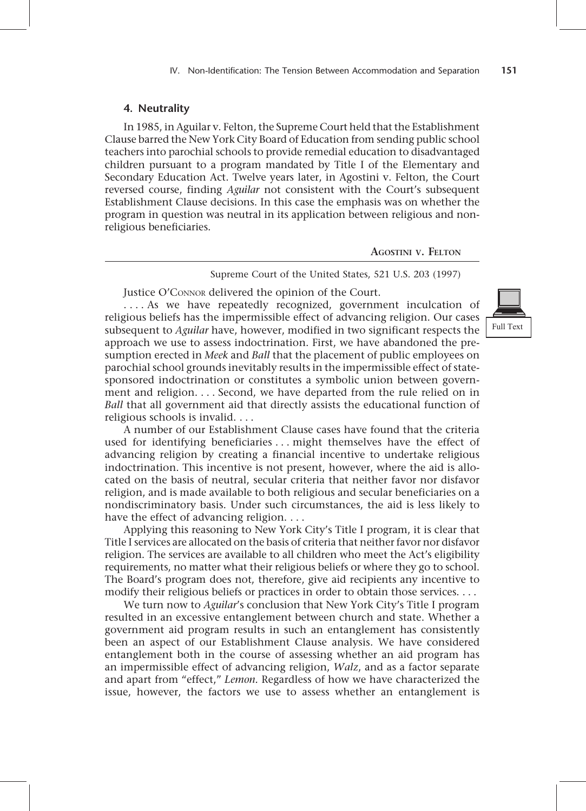#### 4. Neutrality

In 1985, in Aguilar v. Felton, the Supreme Court held that the Establishment Clause barred the New York City Board of Education from sending public school teachers into parochial schools to provide remedial education to disadvantaged children pursuant to a program mandated by Title I of the Elementary and Secondary Education Act. Twelve years later, in Agostini v. Felton, the Court reversed course, finding Aguilar not consistent with the Court's subsequent Establishment Clause decisions. In this case the emphasis was on whether the program in question was neutral in its application between religious and nonreligious beneficiaries.

AGOSTINI V. FELTON

#### Supreme Court of the United States, 521 U.S. 203 (1997)

Justice O'CONNOR delivered the opinion of the Court.

. . . . As we have repeatedly recognized, government inculcation of religious beliefs has the impermissible effect of advancing religion. Our cases subsequent to Aguilar have, however, modified in two significant respects the approach we use to assess indoctrination. First, we have abandoned the presumption erected in Meek and Ball that the placement of public employees on parochial school grounds inevitably results in the impermissible effect of statesponsored indoctrination or constitutes a symbolic union between government and religion. . . . Second, we have departed from the rule relied on in Ball that all government aid that directly assists the educational function of religious schools is invalid. . . .

A number of our Establishment Clause cases have found that the criteria used for identifying beneficiaries . . . might themselves have the effect of advancing religion by creating a financial incentive to undertake religious indoctrination. This incentive is not present, however, where the aid is allocated on the basis of neutral, secular criteria that neither favor nor disfavor religion, and is made available to both religious and secular beneficiaries on a nondiscriminatory basis. Under such circumstances, the aid is less likely to have the effect of advancing religion. . . .

Applying this reasoning to New York City's Title I program, it is clear that Title I services are allocated on the basis of criteria that neither favor nor disfavor religion. The services are available to all children who meet the Act's eligibility requirements, no matter what their religious beliefs or where they go to school. The Board's program does not, therefore, give aid recipients any incentive to modify their religious beliefs or practices in order to obtain those services. . . .

We turn now to *Aguilar's* conclusion that New York City's Title I program resulted in an excessive entanglement between church and state. Whether a government aid program results in such an entanglement has consistently been an aspect of our Establishment Clause analysis. We have considered entanglement both in the course of assessing whether an aid program has an impermissible effect of advancing religion, Walz, and as a factor separate and apart from "effect," Lemon. Regardless of how we have characterized the issue, however, the factors we use to assess whether an entanglement is

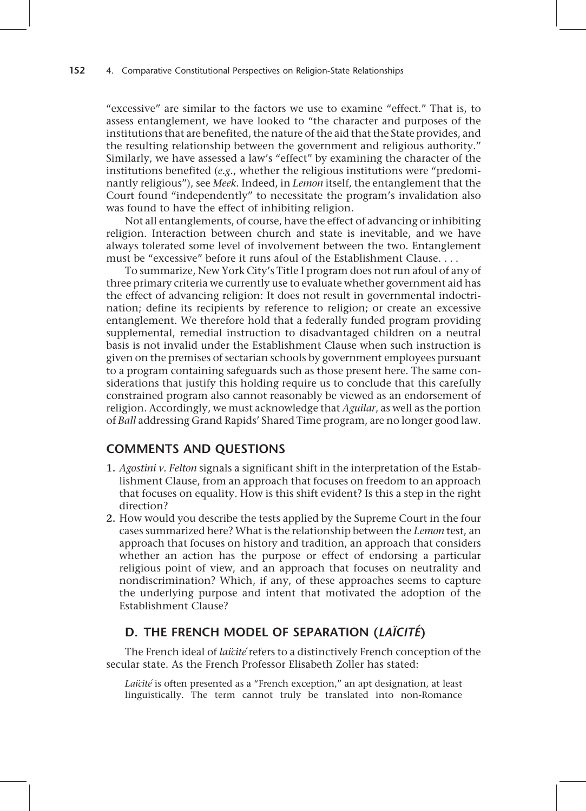"excessive" are similar to the factors we use to examine "effect." That is, to assess entanglement, we have looked to ''the character and purposes of the institutions that are benefited, the nature of the aid that the State provides, and the resulting relationship between the government and religious authority.'' Similarly, we have assessed a law's ''effect'' by examining the character of the institutions benefited  $(e.g.,$  whether the religious institutions were "predominantly religious''), see Meek. Indeed, in Lemon itself, the entanglement that the Court found ''independently'' to necessitate the program's invalidation also was found to have the effect of inhibiting religion.

Not all entanglements, of course, have the effect of advancing or inhibiting religion. Interaction between church and state is inevitable, and we have always tolerated some level of involvement between the two. Entanglement must be "excessive" before it runs afoul of the Establishment Clause....

To summarize, New York City's Title I program does not run afoul of any of three primary criteria we currently use to evaluate whether government aid has the effect of advancing religion: It does not result in governmental indoctrination; define its recipients by reference to religion; or create an excessive entanglement. We therefore hold that a federally funded program providing supplemental, remedial instruction to disadvantaged children on a neutral basis is not invalid under the Establishment Clause when such instruction is given on the premises of sectarian schools by government employees pursuant to a program containing safeguards such as those present here. The same considerations that justify this holding require us to conclude that this carefully constrained program also cannot reasonably be viewed as an endorsement of religion. Accordingly, we must acknowledge that Aguilar, as well as the portion of Ball addressing Grand Rapids' Shared Time program, are no longer good law.

#### COMMENTS AND QUESTIONS

- 1. Agostini v. Felton signals a significant shift in the interpretation of the Establishment Clause, from an approach that focuses on freedom to an approach that focuses on equality. How is this shift evident? Is this a step in the right direction?
- 2. How would you describe the tests applied by the Supreme Court in the four cases summarized here? What is the relationship between the Lemon test, an approach that focuses on history and tradition, an approach that considers whether an action has the purpose or effect of endorsing a particular religious point of view, and an approach that focuses on neutrality and nondiscrimination? Which, if any, of these approaches seems to capture the underlying purpose and intent that motivated the adoption of the Establishment Clause?

## D. THE FRENCH MODEL OF SEPARATION (LAÏCITÉ)

The French ideal of laicité refers to a distinctively French conception of the secular state. As the French Professor Elisabeth Zoller has stated:

Laicité is often presented as a "French exception," an apt designation, at least linguistically. The term cannot truly be translated into non-Romance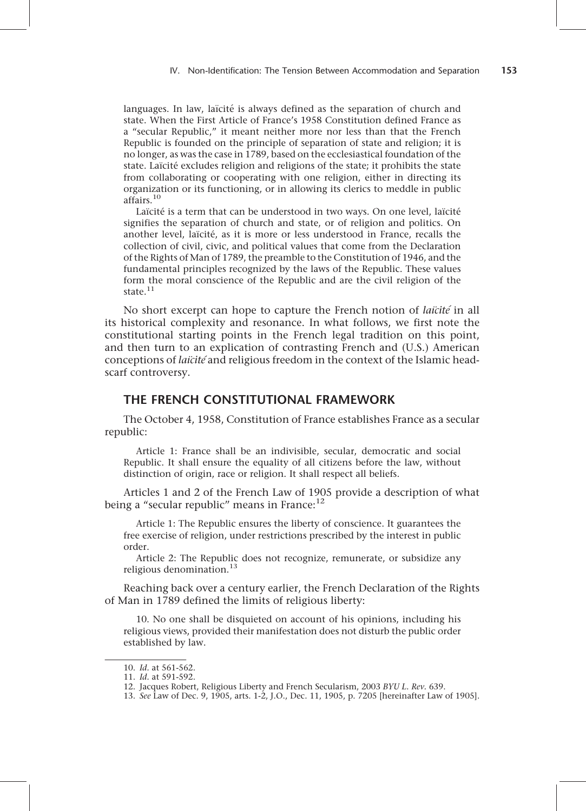languages. In law, laïcité is always defined as the separation of church and state. When the First Article of France's 1958 Constitution defined France as a ''secular Republic,'' it meant neither more nor less than that the French Republic is founded on the principle of separation of state and religion; it is no longer, as was the case in 1789, based on the ecclesiastical foundation of the state. Laïcité excludes religion and religions of the state; it prohibits the state from collaborating or cooperating with one religion, either in directing its organization or its functioning, or in allowing its clerics to meddle in public affairs.<sup>10</sup>

Laïcité is a term that can be understood in two ways. On one level, laïcité signifies the separation of church and state, or of religion and politics. On another level, laïcité, as it is more or less understood in France, recalls the collection of civil, civic, and political values that come from the Declaration of the Rights of Man of 1789, the preamble to the Constitution of 1946, and the fundamental principles recognized by the laws of the Republic. These values form the moral conscience of the Republic and are the civil religion of the state. $11$ 

No short excerpt can hope to capture the French notion of *laicité* in all its historical complexity and resonance. In what follows, we first note the constitutional starting points in the French legal tradition on this point, and then turn to an explication of contrasting French and (U.S.) American conceptions of laicité and religious freedom in the context of the Islamic headscarf controversy.

#### THE FRENCH CONSTITUTIONAL FRAMEWORK

The October 4, 1958, Constitution of France establishes France as a secular republic:

Article 1: France shall be an indivisible, secular, democratic and social Republic. It shall ensure the equality of all citizens before the law, without distinction of origin, race or religion. It shall respect all beliefs.

Articles 1 and 2 of the French Law of 1905 provide a description of what being a "secular republic" means in France: $12$ 

Article 1: The Republic ensures the liberty of conscience. It guarantees the free exercise of religion, under restrictions prescribed by the interest in public order.

Article 2: The Republic does not recognize, remunerate, or subsidize any religious denomination.<sup>13</sup>

Reaching back over a century earlier, the French Declaration of the Rights of Man in 1789 defined the limits of religious liberty:

10. No one shall be disquieted on account of his opinions, including his religious views, provided their manifestation does not disturb the public order established by law.

<sup>10.</sup> Id. at 561-562.

<sup>11.</sup> Id. at 591-592.

<sup>12.</sup> Jacques Robert, Religious Liberty and French Secularism, 2003 BYU L. Rev. 639.

<sup>13.</sup> See Law of Dec. 9, 1905, arts. 1-2, J.O., Dec. 11, 1905, p. 7205 [hereinafter Law of 1905].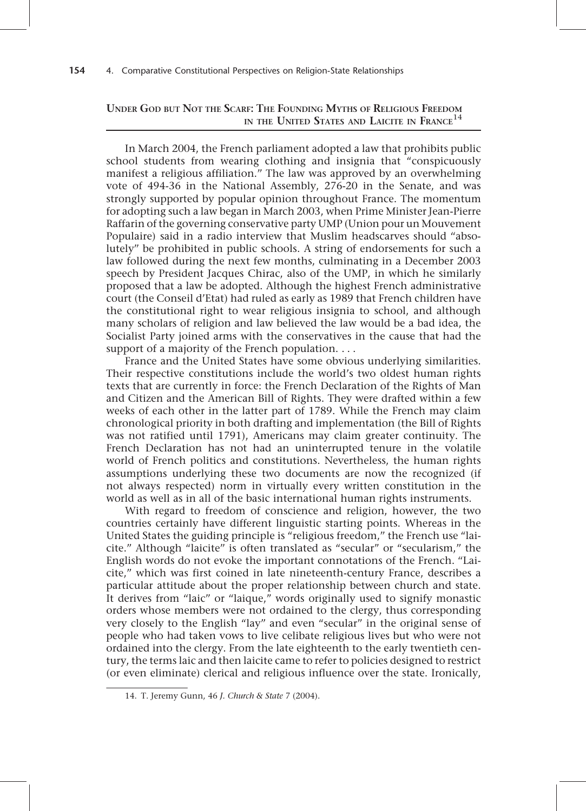#### UNDER GOD BUT NOT THE SCARF: THE FOUNDING MYTHS OF RELIGIOUS FREEDOM IN THE UNITED STATES AND LAICITE IN FRANCE<sup>14</sup>

In March 2004, the French parliament adopted a law that prohibits public school students from wearing clothing and insignia that ''conspicuously manifest a religious affiliation.'' The law was approved by an overwhelming vote of 494-36 in the National Assembly, 276-20 in the Senate, and was strongly supported by popular opinion throughout France. The momentum for adopting such a law began in March 2003, when Prime Minister Jean-Pierre Raffarin of the governing conservative party UMP (Union pour un Mouvement Populaire) said in a radio interview that Muslim headscarves should ''absolutely'' be prohibited in public schools. A string of endorsements for such a law followed during the next few months, culminating in a December 2003 speech by President Jacques Chirac, also of the UMP, in which he similarly proposed that a law be adopted. Although the highest French administrative court (the Conseil d'Etat) had ruled as early as 1989 that French children have the constitutional right to wear religious insignia to school, and although many scholars of religion and law believed the law would be a bad idea, the Socialist Party joined arms with the conservatives in the cause that had the support of a majority of the French population. . . .

France and the United States have some obvious underlying similarities. Their respective constitutions include the world's two oldest human rights texts that are currently in force: the French Declaration of the Rights of Man and Citizen and the American Bill of Rights. They were drafted within a few weeks of each other in the latter part of 1789. While the French may claim chronological priority in both drafting and implementation (the Bill of Rights was not ratified until 1791), Americans may claim greater continuity. The French Declaration has not had an uninterrupted tenure in the volatile world of French politics and constitutions. Nevertheless, the human rights assumptions underlying these two documents are now the recognized (if not always respected) norm in virtually every written constitution in the world as well as in all of the basic international human rights instruments.

With regard to freedom of conscience and religion, however, the two countries certainly have different linguistic starting points. Whereas in the United States the guiding principle is ''religious freedom,'' the French use ''laicite.'' Although ''laicite'' is often translated as ''secular'' or ''secularism,'' the English words do not evoke the important connotations of the French. ''Laicite,'' which was first coined in late nineteenth-century France, describes a particular attitude about the proper relationship between church and state. It derives from ''laic'' or ''laique,'' words originally used to signify monastic orders whose members were not ordained to the clergy, thus corresponding very closely to the English ''lay'' and even ''secular'' in the original sense of people who had taken vows to live celibate religious lives but who were not ordained into the clergy. From the late eighteenth to the early twentieth century, the terms laic and then laicite came to refer to policies designed to restrict (or even eliminate) clerical and religious influence over the state. Ironically,

<sup>14.</sup> T. Jeremy Gunn, 46 J. Church & State 7 (2004).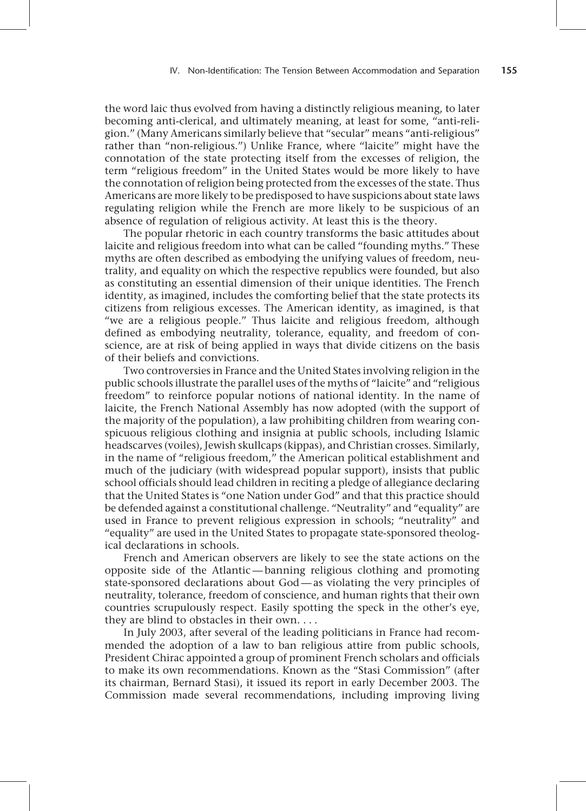the word laic thus evolved from having a distinctly religious meaning, to later becoming anti-clerical, and ultimately meaning, at least for some, ''anti-religion.'' (Many Americans similarly believe that ''secular'' means ''anti-religious'' rather than "non-religious.") Unlike France, where "laicite" might have the connotation of the state protecting itself from the excesses of religion, the term ''religious freedom'' in the United States would be more likely to have the connotation of religion being protected from the excesses of the state. Thus Americans are more likely to be predisposed to have suspicions about state laws regulating religion while the French are more likely to be suspicious of an absence of regulation of religious activity. At least this is the theory.

The popular rhetoric in each country transforms the basic attitudes about laicite and religious freedom into what can be called ''founding myths.'' These myths are often described as embodying the unifying values of freedom, neutrality, and equality on which the respective republics were founded, but also as constituting an essential dimension of their unique identities. The French identity, as imagined, includes the comforting belief that the state protects its citizens from religious excesses. The American identity, as imagined, is that "we are a religious people." Thus laicite and religious freedom, although defined as embodying neutrality, tolerance, equality, and freedom of conscience, are at risk of being applied in ways that divide citizens on the basis of their beliefs and convictions.

Two controversies in France and the United States involving religion in the public schools illustrate the parallel uses of the myths of ''laicite'' and ''religious freedom'' to reinforce popular notions of national identity. In the name of laicite, the French National Assembly has now adopted (with the support of the majority of the population), a law prohibiting children from wearing conspicuous religious clothing and insignia at public schools, including Islamic headscarves (voiles), Jewish skullcaps (kippas), and Christian crosses. Similarly, in the name of ''religious freedom,'' the American political establishment and much of the judiciary (with widespread popular support), insists that public school officials should lead children in reciting a pledge of allegiance declaring that the United States is ''one Nation under God'' and that this practice should be defended against a constitutional challenge. ''Neutrality'' and ''equality'' are used in France to prevent religious expression in schools; ''neutrality'' and ''equality'' are used in the United States to propagate state-sponsored theological declarations in schools.

French and American observers are likely to see the state actions on the opposite side of the Atlantic — banning religious clothing and promoting state-sponsored declarations about God — as violating the very principles of neutrality, tolerance, freedom of conscience, and human rights that their own countries scrupulously respect. Easily spotting the speck in the other's eye, they are blind to obstacles in their own. . . .

In July 2003, after several of the leading politicians in France had recommended the adoption of a law to ban religious attire from public schools, President Chirac appointed a group of prominent French scholars and officials to make its own recommendations. Known as the ''Stasi Commission'' (after its chairman, Bernard Stasi), it issued its report in early December 2003. The Commission made several recommendations, including improving living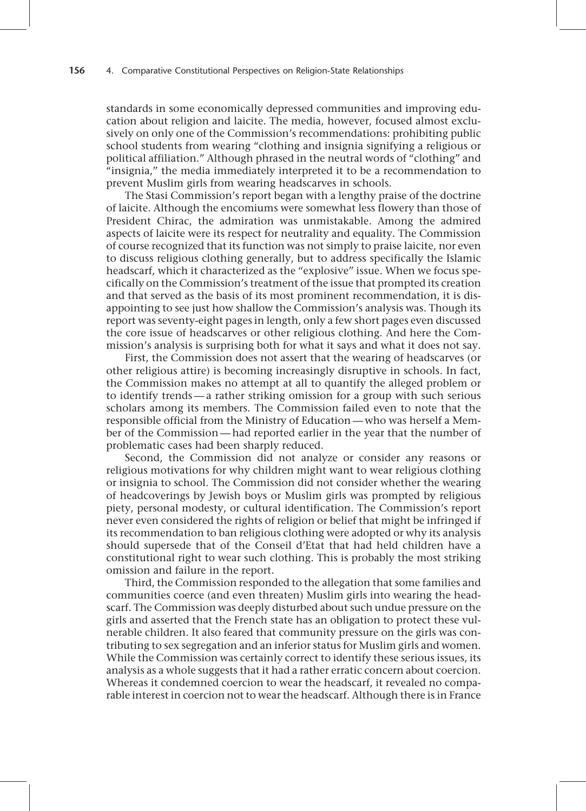standards in some economically depressed communities and improving education about religion and laicite. The media, however, focused almost exclusively on only one of the Commission's recommendations: prohibiting public school students from wearing ''clothing and insignia signifying a religious or political affiliation.'' Although phrased in the neutral words of ''clothing'' and ''insignia,'' the media immediately interpreted it to be a recommendation to prevent Muslim girls from wearing headscarves in schools.

The Stasi Commission's report began with a lengthy praise of the doctrine of laicite. Although the encomiums were somewhat less flowery than those of President Chirac, the admiration was unmistakable. Among the admired aspects of laicite were its respect for neutrality and equality. The Commission of course recognized that its function was not simply to praise laicite, nor even to discuss religious clothing generally, but to address specifically the Islamic headscarf, which it characterized as the "explosive" issue. When we focus specifically on the Commission's treatment of the issue that prompted its creation and that served as the basis of its most prominent recommendation, it is disappointing to see just how shallow the Commission's analysis was. Though its report was seventy-eight pages in length, only a few short pages even discussed the core issue of headscarves or other religious clothing. And here the Commission's analysis is surprising both for what it says and what it does not say.

First, the Commission does not assert that the wearing of headscarves (or other religious attire) is becoming increasingly disruptive in schools. In fact, the Commission makes no attempt at all to quantify the alleged problem or to identify trends — a rather striking omission for a group with such serious scholars among its members. The Commission failed even to note that the responsible official from the Ministry of Education — who was herself a Member of the Commission — had reported earlier in the year that the number of problematic cases had been sharply reduced.

Second, the Commission did not analyze or consider any reasons or religious motivations for why children might want to wear religious clothing or insignia to school. The Commission did not consider whether the wearing of headcoverings by Jewish boys or Muslim girls was prompted by religious piety, personal modesty, or cultural identification. The Commission's report never even considered the rights of religion or belief that might be infringed if its recommendation to ban religious clothing were adopted or why its analysis should supersede that of the Conseil d'Etat that had held children have a constitutional right to wear such clothing. This is probably the most striking omission and failure in the report.

Third, the Commission responded to the allegation that some families and communities coerce (and even threaten) Muslim girls into wearing the headscarf. The Commission was deeply disturbed about such undue pressure on the girls and asserted that the French state has an obligation to protect these vulnerable children. It also feared that community pressure on the girls was contributing to sex segregation and an inferior status for Muslim girls and women. While the Commission was certainly correct to identify these serious issues, its analysis as a whole suggests that it had a rather erratic concern about coercion. Whereas it condemned coercion to wear the headscarf, it revealed no comparable interest in coercion not to wear the headscarf. Although there is in France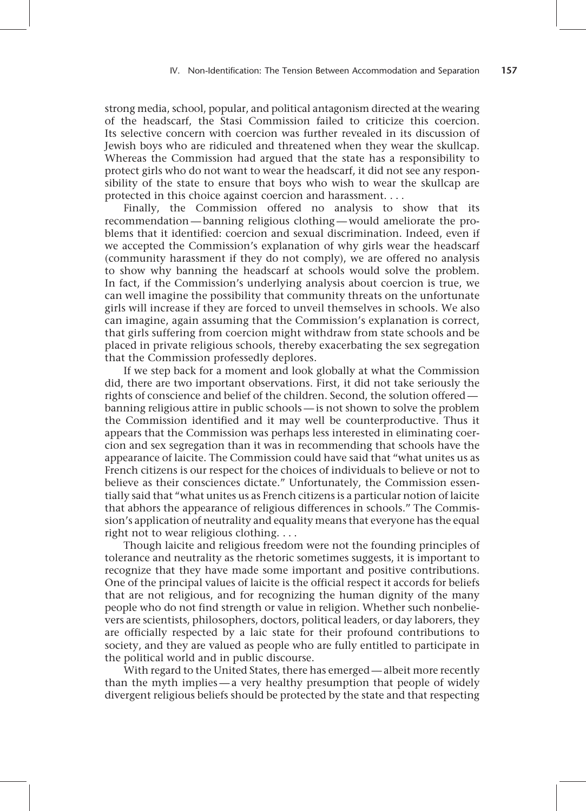strong media, school, popular, and political antagonism directed at the wearing of the headscarf, the Stasi Commission failed to criticize this coercion. Its selective concern with coercion was further revealed in its discussion of Jewish boys who are ridiculed and threatened when they wear the skullcap. Whereas the Commission had argued that the state has a responsibility to protect girls who do not want to wear the headscarf, it did not see any responsibility of the state to ensure that boys who wish to wear the skullcap are protected in this choice against coercion and harassment. . . .

Finally, the Commission offered no analysis to show that its recommendation — banning religious clothing — would ameliorate the problems that it identified: coercion and sexual discrimination. Indeed, even if we accepted the Commission's explanation of why girls wear the headscarf (community harassment if they do not comply), we are offered no analysis to show why banning the headscarf at schools would solve the problem. In fact, if the Commission's underlying analysis about coercion is true, we can well imagine the possibility that community threats on the unfortunate girls will increase if they are forced to unveil themselves in schools. We also can imagine, again assuming that the Commission's explanation is correct, that girls suffering from coercion might withdraw from state schools and be placed in private religious schools, thereby exacerbating the sex segregation that the Commission professedly deplores.

If we step back for a moment and look globally at what the Commission did, there are two important observations. First, it did not take seriously the rights of conscience and belief of the children. Second, the solution offered banning religious attire in public schools — is not shown to solve the problem the Commission identified and it may well be counterproductive. Thus it appears that the Commission was perhaps less interested in eliminating coercion and sex segregation than it was in recommending that schools have the appearance of laicite. The Commission could have said that ''what unites us as French citizens is our respect for the choices of individuals to believe or not to believe as their consciences dictate.'' Unfortunately, the Commission essentially said that ''what unites us as French citizens is a particular notion of laicite that abhors the appearance of religious differences in schools.'' The Commission's application of neutrality and equality means that everyone has the equal right not to wear religious clothing. . . .

Though laicite and religious freedom were not the founding principles of tolerance and neutrality as the rhetoric sometimes suggests, it is important to recognize that they have made some important and positive contributions. One of the principal values of laicite is the official respect it accords for beliefs that are not religious, and for recognizing the human dignity of the many people who do not find strength or value in religion. Whether such nonbelievers are scientists, philosophers, doctors, political leaders, or day laborers, they are officially respected by a laic state for their profound contributions to society, and they are valued as people who are fully entitled to participate in the political world and in public discourse.

With regard to the United States, there has emerged — albeit more recently than the myth implies — a very healthy presumption that people of widely divergent religious beliefs should be protected by the state and that respecting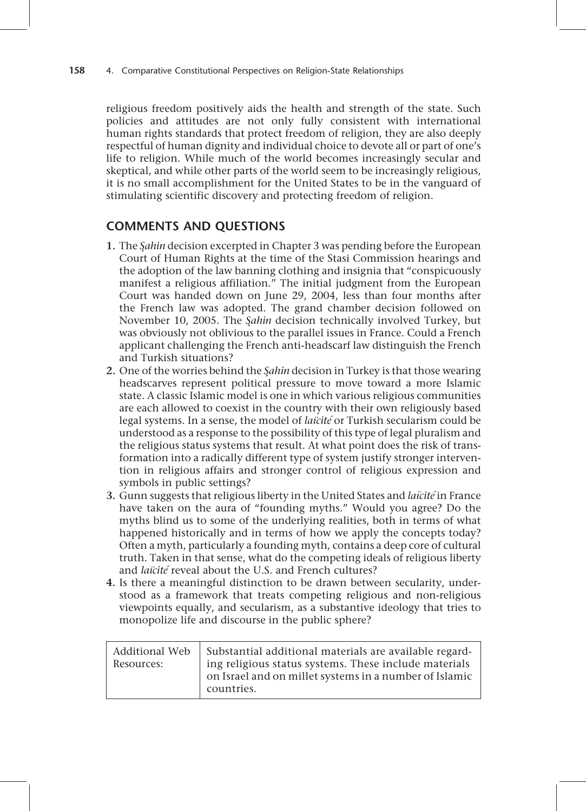religious freedom positively aids the health and strength of the state. Such policies and attitudes are not only fully consistent with international human rights standards that protect freedom of religion, they are also deeply respectful of human dignity and individual choice to devote all or part of one's life to religion. While much of the world becomes increasingly secular and skeptical, and while other parts of the world seem to be increasingly religious, it is no small accomplishment for the United States to be in the vanguard of stimulating scientific discovery and protecting freedom of religion.

## COMMENTS AND QUESTIONS

- 1. The *Sahin* decision excerpted in Chapter 3 was pending before the European Court of Human Rights at the time of the Stasi Commission hearings and the adoption of the law banning clothing and insignia that ''conspicuously manifest a religious affiliation.'' The initial judgment from the European Court was handed down on June 29, 2004, less than four months after the French law was adopted. The grand chamber decision followed on November 10, 2005. The Sahin decision technically involved Turkey, but was obviously not oblivious to the parallel issues in France. Could a French applicant challenging the French anti-headscarf law distinguish the French and Turkish situations?
- 2. One of the worries behind the *Şahin* decision in Turkey is that those wearing headscarves represent political pressure to move toward a more Islamic state. A classic Islamic model is one in which various religious communities are each allowed to coexist in the country with their own religiously based legal systems. In a sense, the model of *laicité* or Turkish secularism could be understood as a response to the possibility of this type of legal pluralism and the religious status systems that result. At what point does the risk of transformation into a radically different type of system justify stronger intervention in religious affairs and stronger control of religious expression and symbols in public settings?
- 3. Gunn suggests that religious liberty in the United States and laicité in France have taken on the aura of "founding myths." Would you agree? Do the myths blind us to some of the underlying realities, both in terms of what happened historically and in terms of how we apply the concepts today? Often a myth, particularly a founding myth, contains a deep core of cultural truth. Taken in that sense, what do the competing ideals of religious liberty and *laïcité* reveal about the U.S. and French cultures?
- 4. Is there a meaningful distinction to be drawn between secularity, understood as a framework that treats competing religious and non-religious viewpoints equally, and secularism, as a substantive ideology that tries to monopolize life and discourse in the public sphere?

| Resources: | Additional Web   Substantial additional materials are available regard-<br>ing religious status systems. These include materials<br>on Israel and on millet systems in a number of Islamic |
|------------|--------------------------------------------------------------------------------------------------------------------------------------------------------------------------------------------|
|            | countries.                                                                                                                                                                                 |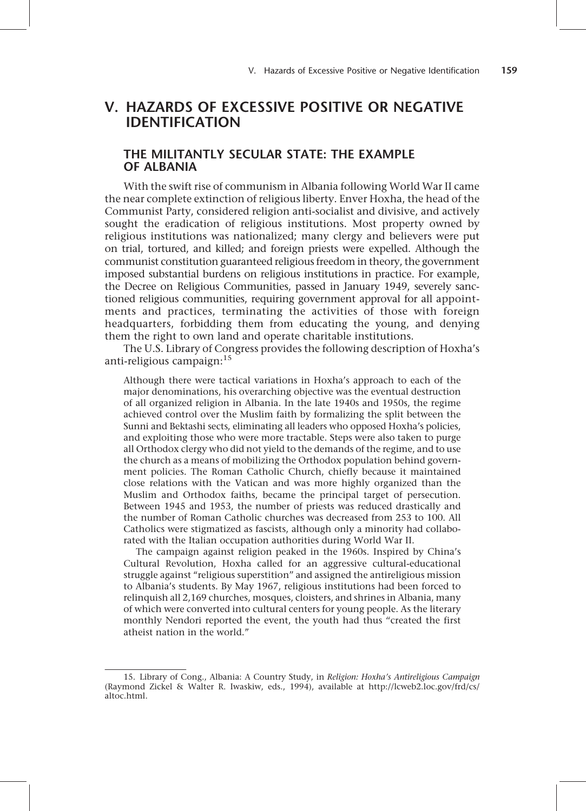## V. HAZARDS OF EXCESSIVE POSITIVE OR NEGATIVE IDENTIFICATION

### THE MILITANTLY SECULAR STATE: THE EXAMPLE OF ALBANIA

With the swift rise of communism in Albania following World War II came the near complete extinction of religious liberty. Enver Hoxha, the head of the Communist Party, considered religion anti-socialist and divisive, and actively sought the eradication of religious institutions. Most property owned by religious institutions was nationalized; many clergy and believers were put on trial, tortured, and killed; and foreign priests were expelled. Although the communist constitution guaranteed religious freedom in theory, the government imposed substantial burdens on religious institutions in practice. For example, the Decree on Religious Communities, passed in January 1949, severely sanctioned religious communities, requiring government approval for all appointments and practices, terminating the activities of those with foreign headquarters, forbidding them from educating the young, and denying them the right to own land and operate charitable institutions.

The U.S. Library of Congress provides the following description of Hoxha's anti-religious campaign:15

Although there were tactical variations in Hoxha's approach to each of the major denominations, his overarching objective was the eventual destruction of all organized religion in Albania. In the late 1940s and 1950s, the regime achieved control over the Muslim faith by formalizing the split between the Sunni and Bektashi sects, eliminating all leaders who opposed Hoxha's policies, and exploiting those who were more tractable. Steps were also taken to purge all Orthodox clergy who did not yield to the demands of the regime, and to use the church as a means of mobilizing the Orthodox population behind government policies. The Roman Catholic Church, chiefly because it maintained close relations with the Vatican and was more highly organized than the Muslim and Orthodox faiths, became the principal target of persecution. Between 1945 and 1953, the number of priests was reduced drastically and the number of Roman Catholic churches was decreased from 253 to 100. All Catholics were stigmatized as fascists, although only a minority had collaborated with the Italian occupation authorities during World War II.

The campaign against religion peaked in the 1960s. Inspired by China's Cultural Revolution, Hoxha called for an aggressive cultural-educational struggle against ''religious superstition'' and assigned the antireligious mission to Albania's students. By May 1967, religious institutions had been forced to relinquish all 2,169 churches, mosques, cloisters, and shrines in Albania, many of which were converted into cultural centers for young people. As the literary monthly Nendori reported the event, the youth had thus "created the first atheist nation in the world.''

<sup>15.</sup> Library of Cong., Albania: A Country Study, in Religion: Hoxha's Antireligious Campaign (Raymond Zickel & Walter R. Iwaskiw, eds., 1994), available at http://lcweb2.loc.gov/frd/cs/ altoc.html.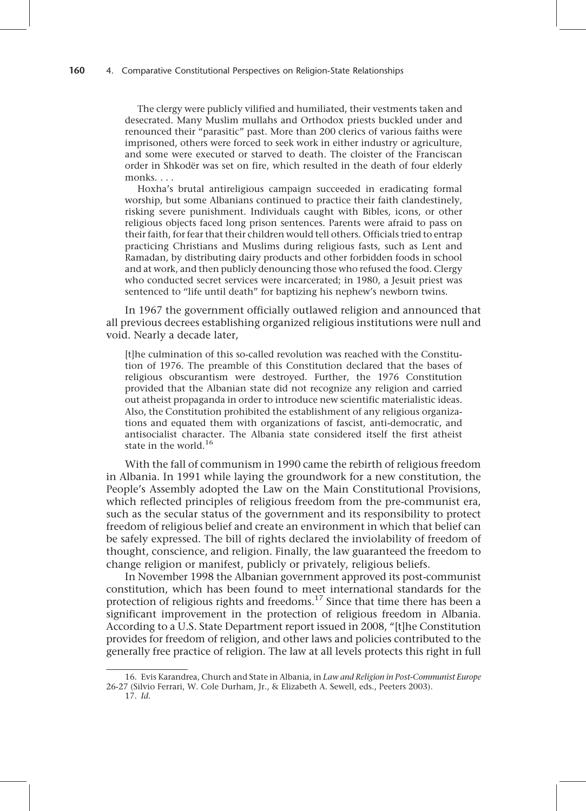The clergy were publicly vilified and humiliated, their vestments taken and desecrated. Many Muslim mullahs and Orthodox priests buckled under and renounced their ''parasitic'' past. More than 200 clerics of various faiths were imprisoned, others were forced to seek work in either industry or agriculture, and some were executed or starved to death. The cloister of the Franciscan order in Shkodër was set on fire, which resulted in the death of four elderly monks. . . .

Hoxha's brutal antireligious campaign succeeded in eradicating formal worship, but some Albanians continued to practice their faith clandestinely, risking severe punishment. Individuals caught with Bibles, icons, or other religious objects faced long prison sentences. Parents were afraid to pass on their faith, for fear that their children would tell others. Officials tried to entrap practicing Christians and Muslims during religious fasts, such as Lent and Ramadan, by distributing dairy products and other forbidden foods in school and at work, and then publicly denouncing those who refused the food. Clergy who conducted secret services were incarcerated; in 1980, a Jesuit priest was sentenced to "life until death" for baptizing his nephew's newborn twins.

In 1967 the government officially outlawed religion and announced that all previous decrees establishing organized religious institutions were null and void. Nearly a decade later,

[t]he culmination of this so-called revolution was reached with the Constitution of 1976. The preamble of this Constitution declared that the bases of religious obscurantism were destroyed. Further, the 1976 Constitution provided that the Albanian state did not recognize any religion and carried out atheist propaganda in order to introduce new scientific materialistic ideas. Also, the Constitution prohibited the establishment of any religious organizations and equated them with organizations of fascist, anti-democratic, and antisocialist character. The Albania state considered itself the first atheist state in the world.<sup>16</sup>

With the fall of communism in 1990 came the rebirth of religious freedom in Albania. In 1991 while laying the groundwork for a new constitution, the People's Assembly adopted the Law on the Main Constitutional Provisions, which reflected principles of religious freedom from the pre-communist era, such as the secular status of the government and its responsibility to protect freedom of religious belief and create an environment in which that belief can be safely expressed. The bill of rights declared the inviolability of freedom of thought, conscience, and religion. Finally, the law guaranteed the freedom to change religion or manifest, publicly or privately, religious beliefs.

In November 1998 the Albanian government approved its post-communist constitution, which has been found to meet international standards for the protection of religious rights and freedoms.<sup>17</sup> Since that time there has been a significant improvement in the protection of religious freedom in Albania. According to a U.S. State Department report issued in 2008, ''[t]he Constitution provides for freedom of religion, and other laws and policies contributed to the generally free practice of religion. The law at all levels protects this right in full

17. Id.

<sup>16.</sup> Evis Karandrea, Church and State in Albania, in Law and Religion in Post-Communist Europe 26-27 (Silvio Ferrari, W. Cole Durham, Jr., & Elizabeth A. Sewell, eds., Peeters 2003).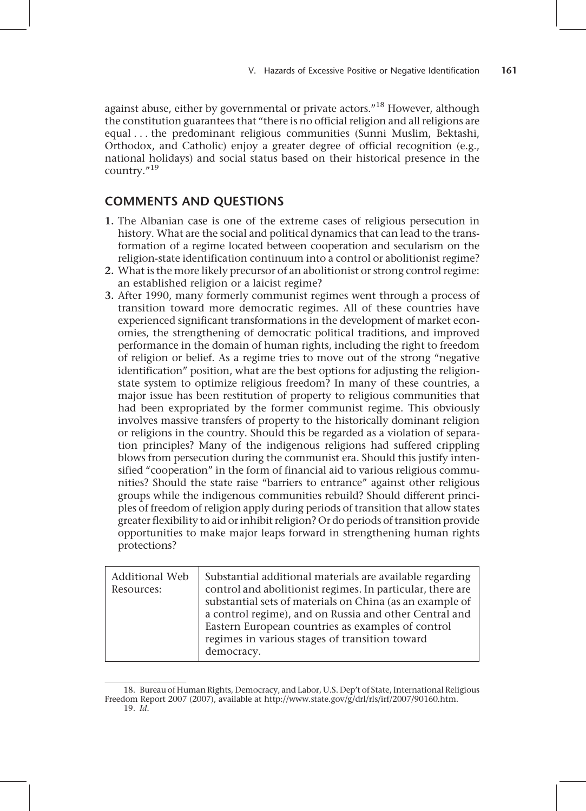against abuse, either by governmental or private actors."<sup>18</sup> However, although the constitution guarantees that ''there is no official religion and all religions are equal . . . the predominant religious communities (Sunni Muslim, Bektashi, Orthodox, and Catholic) enjoy a greater degree of official recognition (e.g., national holidays) and social status based on their historical presence in the country.''19

## COMMENTS AND QUESTIONS

- 1. The Albanian case is one of the extreme cases of religious persecution in history. What are the social and political dynamics that can lead to the transformation of a regime located between cooperation and secularism on the religion-state identification continuum into a control or abolitionist regime?
- 2. What is the more likely precursor of an abolitionist or strong control regime: an established religion or a laicist regime?
- 3. After 1990, many formerly communist regimes went through a process of transition toward more democratic regimes. All of these countries have experienced significant transformations in the development of market economies, the strengthening of democratic political traditions, and improved performance in the domain of human rights, including the right to freedom of religion or belief. As a regime tries to move out of the strong ''negative identification'' position, what are the best options for adjusting the religionstate system to optimize religious freedom? In many of these countries, a major issue has been restitution of property to religious communities that had been expropriated by the former communist regime. This obviously involves massive transfers of property to the historically dominant religion or religions in the country. Should this be regarded as a violation of separation principles? Many of the indigenous religions had suffered crippling blows from persecution during the communist era. Should this justify intensified "cooperation" in the form of financial aid to various religious communities? Should the state raise ''barriers to entrance'' against other religious groups while the indigenous communities rebuild? Should different principles of freedom of religion apply during periods of transition that allow states greater flexibility to aid or inhibit religion? Or do periods of transition provide opportunities to make major leaps forward in strengthening human rights protections?

<sup>18.</sup> Bureau of Human Rights, Democracy, and Labor, U.S. Dep't of State, International Religious Freedom Report 2007 (2007), available at http://www.state.gov/g/drl/rls/irf/2007/90160.htm. 19. Id.